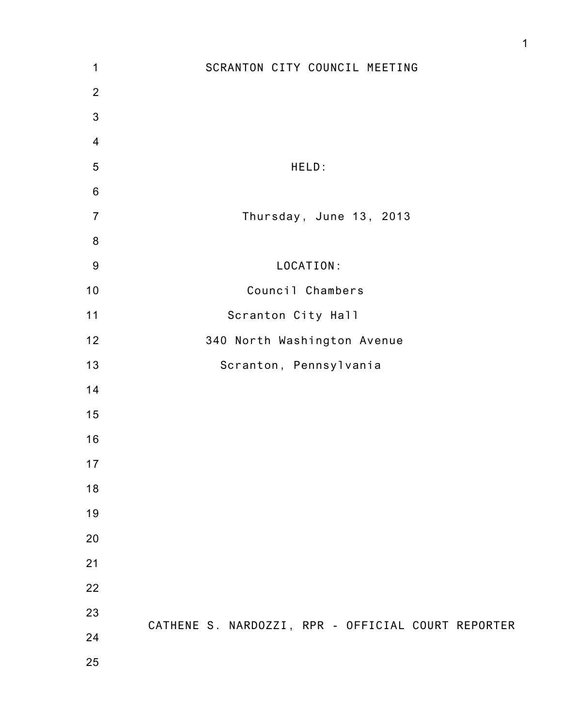| 1              | SCRANTON CITY COUNCIL MEETING                      |
|----------------|----------------------------------------------------|
| $\overline{2}$ |                                                    |
| $\mathbf{3}$   |                                                    |
| $\overline{4}$ |                                                    |
| 5              | HELD:                                              |
| $\,6$          |                                                    |
| $\overline{7}$ | Thursday, June 13, 2013                            |
| $\bf 8$        |                                                    |
| $9\,$          | LOCATION:                                          |
| $10$           | Council Chambers                                   |
| $11$           | Scranton City Hall                                 |
| 12             | 340 North Washington Avenue                        |
| 13             | Scranton, Pennsylvania                             |
| 14             |                                                    |
| 15             |                                                    |
| 16             |                                                    |
| 17             |                                                    |
| 18             |                                                    |
| 19             |                                                    |
| 20             |                                                    |
| 21             |                                                    |
| 22             |                                                    |
| 23             |                                                    |
| 24             | CATHENE S. NARDOZZI, RPR - OFFICIAL COURT REPORTER |
| 25             |                                                    |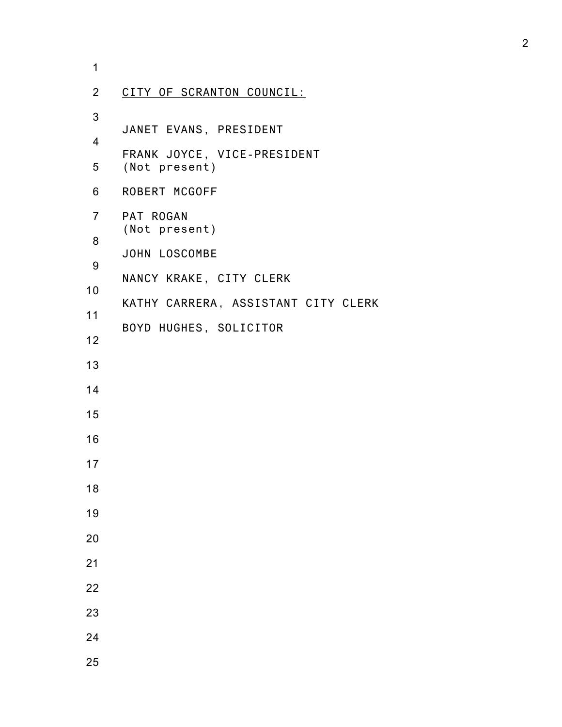| $\mathbf 1$    |                                     |
|----------------|-------------------------------------|
| $\overline{2}$ | CITY OF SCRANTON COUNCIL:           |
| 3              | JANET EVANS, PRESIDENT              |
| $\overline{4}$ | FRANK JOYCE, VICE-PRESIDENT         |
| 5              | (Not present)                       |
| 6              | ROBERT MCGOFF                       |
| $\overline{7}$ | PAT ROGAN<br>(Not present)          |
| 8              | JOHN LOSCOMBE                       |
| 9              | NANCY KRAKE, CITY CLERK             |
| 10             | KATHY CARRERA, ASSISTANT CITY CLERK |
| 11             | BOYD HUGHES, SOLICITOR              |
| 12             |                                     |
| 13             |                                     |
| 14             |                                     |
| 15             |                                     |
| 16             |                                     |
| 17             |                                     |
| 18             |                                     |
| 19             |                                     |
| 20             |                                     |
| 21             |                                     |
| 22             |                                     |
| 23             |                                     |
| 24             |                                     |
| 25             |                                     |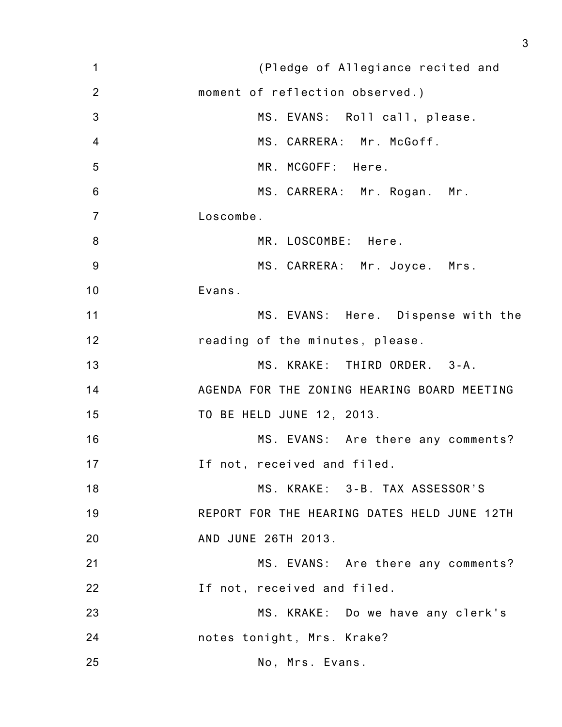1 2 3 4 5 6 7 8 9 10 11 12 13 14 15 16 17 18 19 20 21 22 23 24 25 (Pledge of Allegiance recited and moment of reflection observed.) MS. EVANS: Roll call, please. MS. CARRERA: Mr. McGoff. MR. MCGOFF: Here. MS. CARRERA: Mr. Rogan. Mr. Loscombe. MR. LOSCOMBE: Here. MS. CARRERA: Mr. Joyce. Mrs. Evans. MS. EVANS: Here. Dispense with the reading of the minutes, please. MS. KRAKE: THIRD ORDER. 3-A. AGENDA FOR THE ZONING HEARING BOARD MEETING TO BE HELD JUNE 12, 2013. MS. EVANS: Are there any comments? If not, received and filed. MS. KRAKE: 3-B. TAX ASSESSOR'S REPORT FOR THE HEARING DATES HELD JUNE 12TH AND JUNE 26TH 2013. MS. EVANS: Are there any comments? If not, received and filed. MS. KRAKE: Do we have any clerk's notes tonight, Mrs. Krake? No, Mrs. Evans.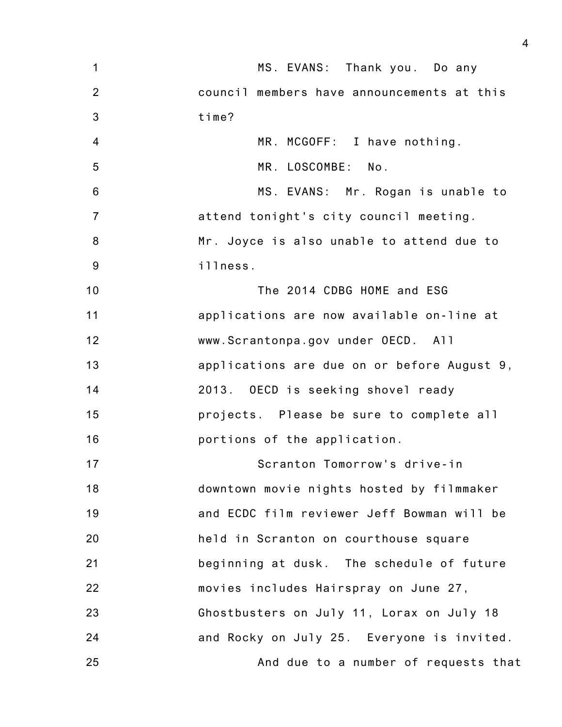| $\mathbf 1$    | MS. EVANS: Thank you. Do any                |
|----------------|---------------------------------------------|
| $\overline{2}$ | council members have announcements at this  |
| 3              | time?                                       |
| $\overline{4}$ | MR. MCGOFF: I have nothing.                 |
| 5              | MR. LOSCOMBE: No.                           |
| $6\phantom{1}$ | MS. EVANS: Mr. Rogan is unable to           |
| $\overline{7}$ | attend tonight's city council meeting.      |
| 8              | Mr. Joyce is also unable to attend due to   |
| 9              | illness.                                    |
| 10             | The 2014 CDBG HOME and ESG                  |
| 11             | applications are now available on-line at   |
| 12             | www.Scrantonpa.gov under OECD. All          |
| 13             | applications are due on or before August 9, |
| 14             | 2013. OECD is seeking shovel ready          |
| 15             | projects. Please be sure to complete all    |
| 16             | portions of the application.                |
| 17             | Scranton Tomorrow's drive-in                |
| 18             | downtown movie nights hosted by filmmaker   |
| 19             | and ECDC film reviewer Jeff Bowman will be  |
| 20             | held in Scranton on courthouse square       |
| 21             | beginning at dusk. The schedule of future   |
| 22             | movies includes Hairspray on June 27,       |
| 23             | Ghostbusters on July 11, Lorax on July 18   |
| 24             | and Rocky on July 25. Everyone is invited.  |
| 25             | And due to a number of requests that        |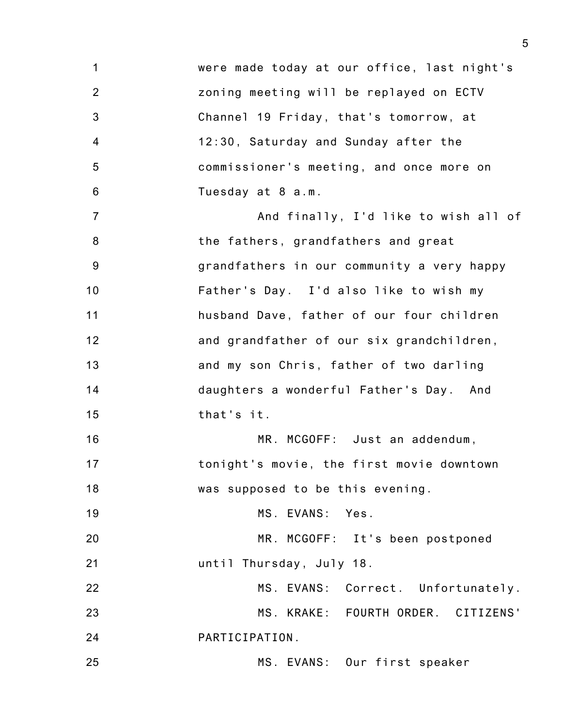1 2 3 4 5 6 7 8 9 10 11 12 13 14 15 16 17 18 19 20 21 22 23 24 25 were made today at our office, last night's zoning meeting will be replayed on ECTV Channel 19 Friday, that's tomorrow, at 12:30, Saturday and Sunday after the commissioner's meeting, and once more on Tuesday at 8 a.m. And finally, I'd like to wish all of the fathers, grandfathers and great grandfathers in our community a very happy Father's Day. I'd also like to wish my husband Dave, father of our four children and grandfather of our six grandchildren, and my son Chris, father of two darling daughters a wonderful Father's Day. And that's it. MR. MCGOFF: Just an addendum, tonight's movie, the first movie downtown was supposed to be this evening. MS. EVANS: Yes. MR. MCGOFF: It's been postponed until Thursday, July 18. MS. EVANS: Correct. Unfortunately. MS. KRAKE: FOURTH ORDER. CITIZENS' PARTICIPATION. MS. EVANS: Our first speaker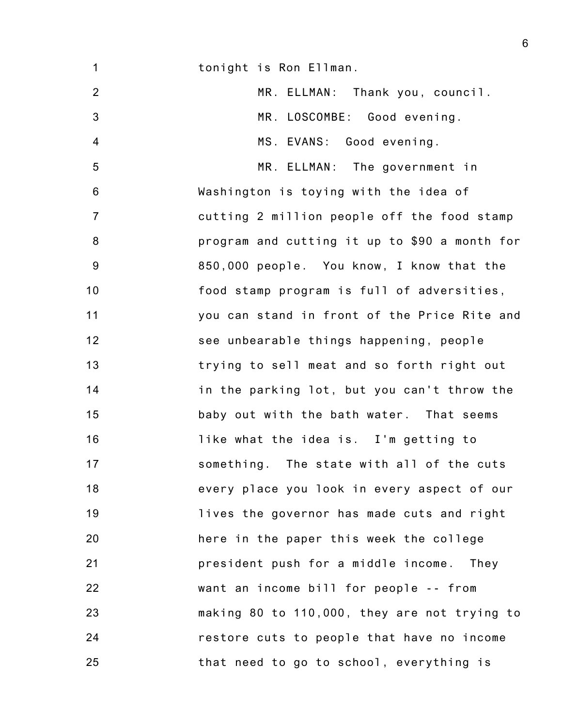1 2 3 4 5 6 7 8 9 10 11 12 13 14 15 16 17 18 19 20 21 22 23 24 25 tonight is Ron Ellman. MR. ELLMAN: Thank you, council. MR. LOSCOMBE: Good evening. MS. EVANS: Good evening. MR. ELLMAN: The government in Washington is toying with the idea of cutting 2 million people off the food stamp program and cutting it up to \$90 a month for 850,000 people. You know, I know that the food stamp program is full of adversities, you can stand in front of the Price Rite and see unbearable things happening, people trying to sell meat and so forth right out in the parking lot, but you can't throw the baby out with the bath water. That seems like what the idea is. I'm getting to something. The state with all of the cuts every place you look in every aspect of our lives the governor has made cuts and right here in the paper this week the college president push for a middle income. They want an income bill for people -- from making 80 to 110,000, they are not trying to restore cuts to people that have no income that need to go to school, everything is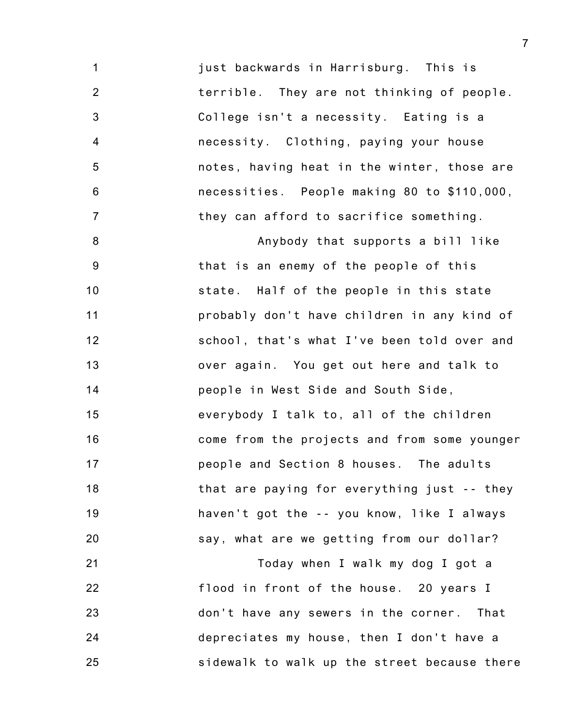1 2 3 4 5 6 7 just backwards in Harrisburg. This is terrible. They are not thinking of people. College isn't a necessity. Eating is a necessity. Clothing, paying your house notes, having heat in the winter, those are necessities. People making 80 to \$110,000, they can afford to sacrifice something.

8 9 10 11 12 13 14 15 16 17 18 19 20 Anybody that supports a bill like that is an enemy of the people of this state. Half of the people in this state probably don't have children in any kind of school, that's what I've been told over and over again. You get out here and talk to people in West Side and South Side, everybody I talk to, all of the children come from the projects and from some younger people and Section 8 houses. The adults that are paying for everything just -- they haven't got the -- you know, like I always say, what are we getting from our dollar?

21 22 23 24 25 Today when I walk my dog I got a flood in front of the house. 20 years I don't have any sewers in the corner. That depreciates my house, then I don't have a sidewalk to walk up the street because there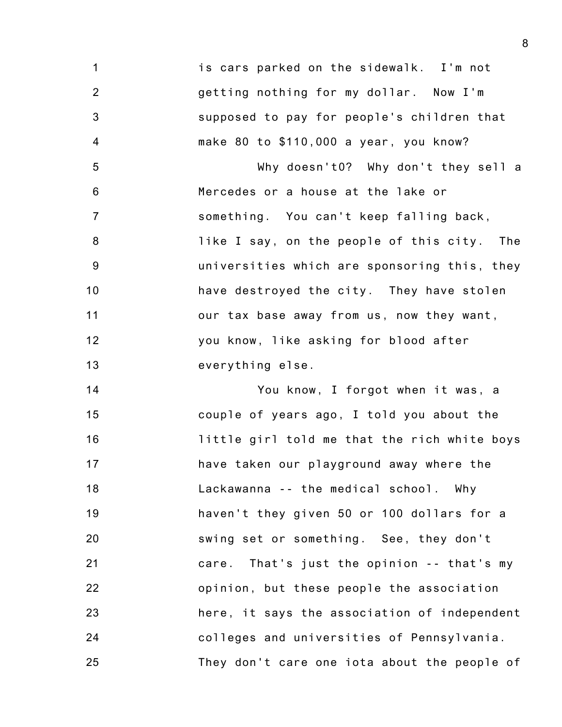1 2 3 4 is cars parked on the sidewalk. I'm not getting nothing for my dollar. Now I'm supposed to pay for people's children that make 80 to \$110,000 a year, you know?

5 6 7 8 9 10 11 12 13 Why doesn't0? Why don't they sell a Mercedes or a house at the lake or something. You can't keep falling back, like I say, on the people of this city. The universities which are sponsoring this, they have destroyed the city. They have stolen our tax base away from us, now they want, you know, like asking for blood after everything else.

14 15 16 17 18 19 20 21 22 23 24 25 You know, I forgot when it was, a couple of years ago, I told you about the little girl told me that the rich white boys have taken our playground away where the Lackawanna -- the medical school. Why haven't they given 50 or 100 dollars for a swing set or something. See, they don't care. That's just the opinion -- that's my opinion, but these people the association here, it says the association of independent colleges and universities of Pennsylvania. They don't care one iota about the people of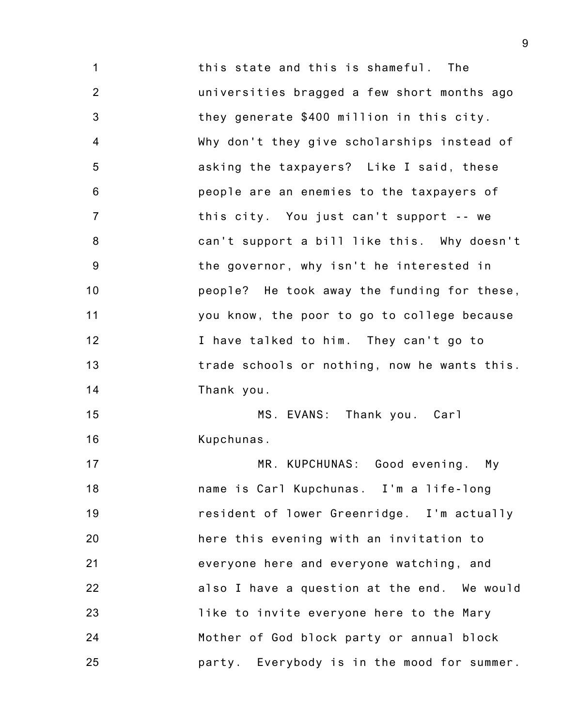1 2 3 4 5 6 7 8 9 10 11 12 13 14 15 16 17 18 19 20 21 22 23 this state and this is shameful. The universities bragged a few short months ago they generate \$400 million in this city. Why don't they give scholarships instead of asking the taxpayers? Like I said, these people are an enemies to the taxpayers of this city. You just can't support -- we can't support a bill like this. Why doesn't the governor, why isn't he interested in people? He took away the funding for these, you know, the poor to go to college because I have talked to him. They can't go to trade schools or nothing, now he wants this. Thank you. MS. EVANS: Thank you. Carl Kupchunas. MR. KUPCHUNAS: Good evening. My name is Carl Kupchunas. I'm a life-long resident of lower Greenridge. I'm actually here this evening with an invitation to everyone here and everyone watching, and also I have a question at the end. We would

24 25 like to invite everyone here to the Mary Mother of God block party or annual block party. Everybody is in the mood for summer.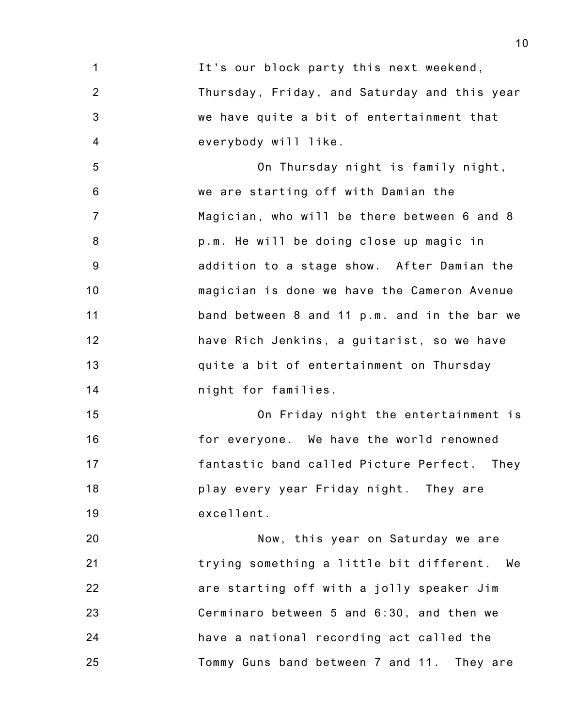1 2 3 4 It's our block party this next weekend, Thursday, Friday, and Saturday and this year we have quite a bit of entertainment that everybody will like.

5 6 7 8 9 10 11 12 13 14 On Thursday night is family night, we are starting off with Damian the Magician, who will be there between 6 and 8 p.m. He will be doing close up magic in addition to a stage show. After Damian the magician is done we have the Cameron Avenue band between 8 and 11 p.m. and in the bar we have Rich Jenkins, a guitarist, so we have quite a bit of entertainment on Thursday night for families.

15 16 17 18 19 On Friday night the entertainment is for everyone. We have the world renowned fantastic band called Picture Perfect. They play every year Friday night. They are excellent.

20 21 22 23 24 25 Now, this year on Saturday we are trying something a little bit different. We are starting off with a jolly speaker Jim Cerminaro between 5 and 6:30, and then we have a national recording act called the Tommy Guns band between 7 and 11. They are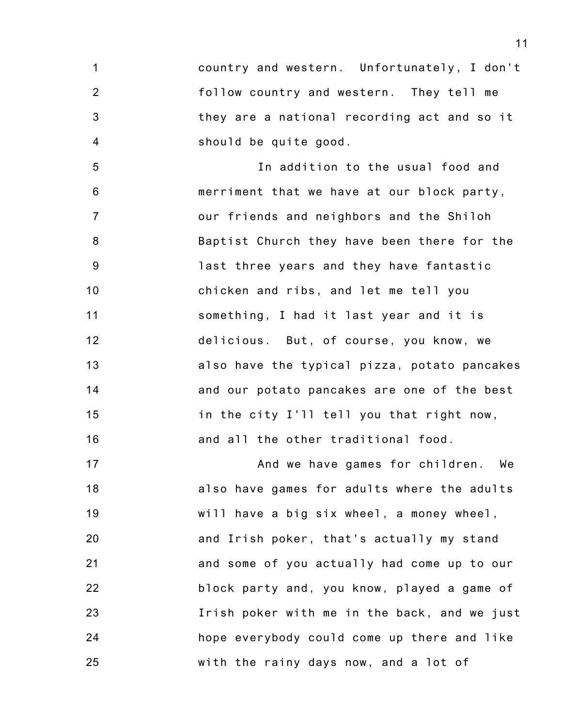1 2 3 4 country and western. Unfortunately, I don't follow country and western. They tell me they are a national recording act and so it should be quite good.

5 6 7 8 9 10 11 12 13 14 15 16 In addition to the usual food and merriment that we have at our block party, our friends and neighbors and the Shiloh Baptist Church they have been there for the last three years and they have fantastic chicken and ribs, and let me tell you something, I had it last year and it is delicious. But, of course, you know, we also have the typical pizza, potato pancakes and our potato pancakes are one of the best in the city I'll tell you that right now, and all the other traditional food.

17 18 19 20 21 22 23 24 25 And we have games for children. We also have games for adults where the adults will have a big six wheel, a money wheel, and Irish poker, that's actually my stand and some of you actually had come up to our block party and, you know, played a game of Irish poker with me in the back, and we just hope everybody could come up there and like with the rainy days now, and a lot of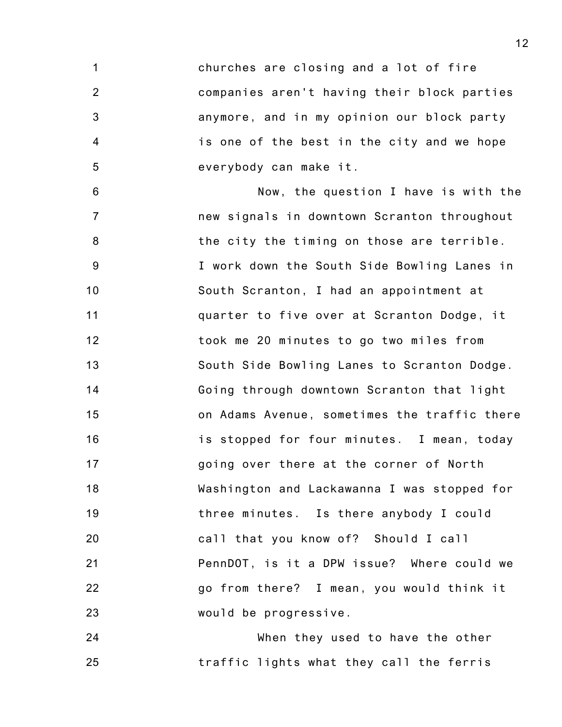1 2 3 4 5 churches are closing and a lot of fire companies aren't having their block parties anymore, and in my opinion our block party is one of the best in the city and we hope everybody can make it.

6 7 8 9 10 11 12 13 14 15 16 17 18 19 20 21 22 23 Now, the question I have is with the new signals in downtown Scranton throughout the city the timing on those are terrible. I work down the South Side Bowling Lanes in South Scranton, I had an appointment at quarter to five over at Scranton Dodge, it took me 20 minutes to go two miles from South Side Bowling Lanes to Scranton Dodge. Going through downtown Scranton that light on Adams Avenue, sometimes the traffic there is stopped for four minutes. I mean, today going over there at the corner of North Washington and Lackawanna I was stopped for three minutes. Is there anybody I could call that you know of? Should I call PennDOT, is it a DPW issue? Where could we go from there? I mean, you would think it would be progressive.

24 25 When they used to have the other traffic lights what they call the ferris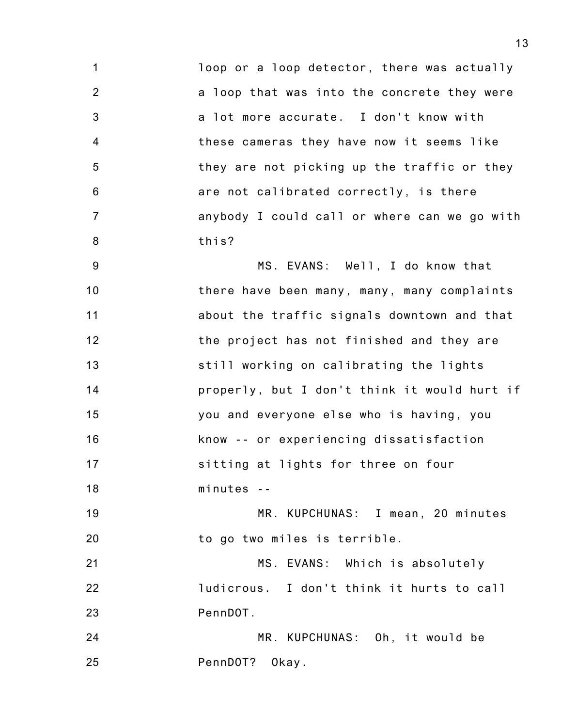1 2 3 4 5 6 7 8 loop or a loop detector, there was actually a loop that was into the concrete they were a lot more accurate. I don't know with these cameras they have now it seems like they are not picking up the traffic or they are not calibrated correctly, is there anybody I could call or where can we go with this?

9 10 11 12 13 14 15 16 17 18 MS. EVANS: Well, I do know that there have been many, many, many complaints about the traffic signals downtown and that the project has not finished and they are still working on calibrating the lights properly, but I don't think it would hurt if you and everyone else who is having, you know -- or experiencing dissatisfaction sitting at lights for three on four minutes --

19 20 MR. KUPCHUNAS: I mean, 20 minutes to go two miles is terrible.

21 22 23 MS. EVANS: Which is absolutely ludicrous. I don't think it hurts to call PennDOT.

24 25 MR. KUPCHUNAS: Oh, it would be PennDOT? Okay.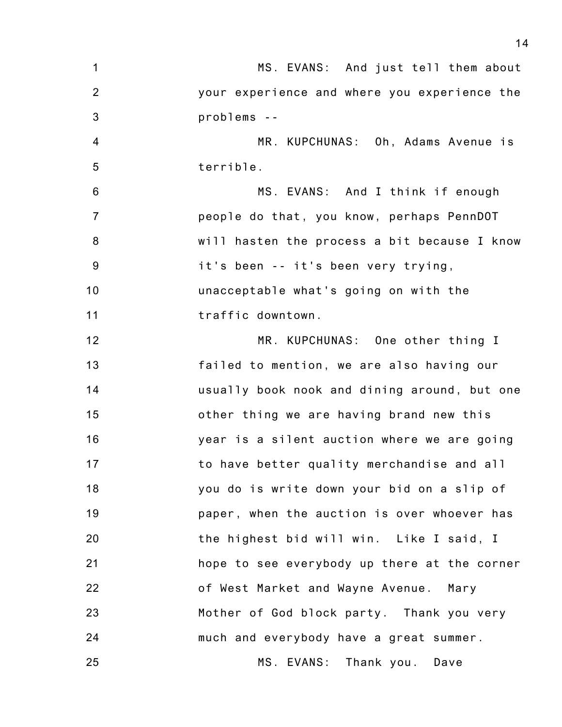| $\mathbf 1$      | MS. EVANS: And just tell them about          |
|------------------|----------------------------------------------|
| 2                | your experience and where you experience the |
| $\mathfrak{B}$   | problems --                                  |
| $\overline{4}$   | MR. KUPCHUNAS: Oh, Adams Avenue is           |
| 5                | terrible.                                    |
| 6                | MS. EVANS: And I think if enough             |
| $\overline{7}$   | people do that, you know, perhaps PennDOT    |
| $\boldsymbol{8}$ | will hasten the process a bit because I know |
| 9                | it's been -- it's been very trying,          |
| 10               | unacceptable what's going on with the        |
| 11               | traffic downtown.                            |
| 12               | MR. KUPCHUNAS: One other thing I             |
| 13               | failed to mention, we are also having our    |
| 14               | usually book nook and dining around, but one |
| 15               | other thing we are having brand new this     |
| 16               | year is a silent auction where we are going  |
| 17               | to have better quality merchandise and all   |
| 18               | you do is write down your bid on a slip of   |
| 19               | paper, when the auction is over whoever has  |
| 20               | the highest bid will win. Like I said, I     |
| 21               | hope to see everybody up there at the corner |
| 22               | of West Market and Wayne Avenue. Mary        |
| 23               | Mother of God block party. Thank you very    |
| 24               | much and everybody have a great summer.      |
| 25               | MS. EVANS: Thank you. Dave                   |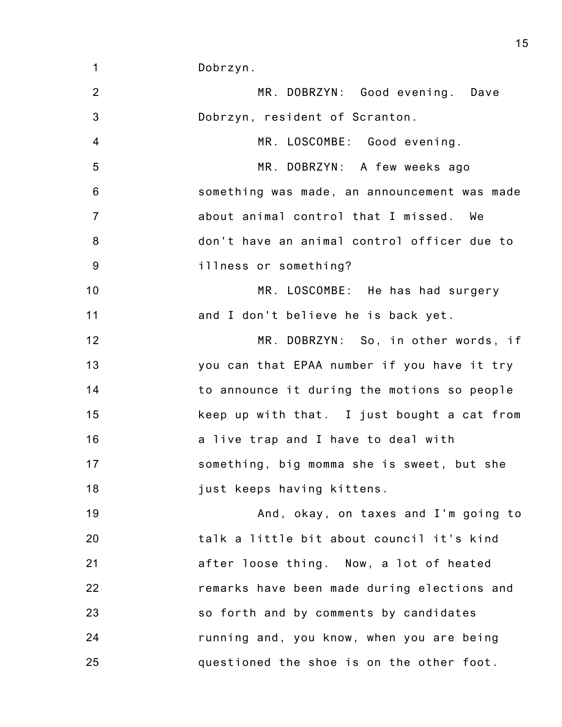1 Dobrzyn.

2 3 4 5 6 7 8 9 10 11 12 13 14 15 16 17 18 19 20 21 22 23 24 25 MR. DOBRZYN: Good evening. Dave Dobrzyn, resident of Scranton. MR. LOSCOMBE: Good evening. MR. DOBRZYN: A few weeks ago something was made, an announcement was made about animal control that I missed. We don't have an animal control officer due to illness or something? MR. LOSCOMBE: He has had surgery and I don't believe he is back yet. MR. DOBRZYN: So, in other words, if you can that EPAA number if you have it try to announce it during the motions so people keep up with that. I just bought a cat from a live trap and I have to deal with something, big momma she is sweet, but she just keeps having kittens. And, okay, on taxes and I'm going to talk a little bit about council it's kind after loose thing. Now, a lot of heated remarks have been made during elections and so forth and by comments by candidates running and, you know, when you are being questioned the shoe is on the other foot.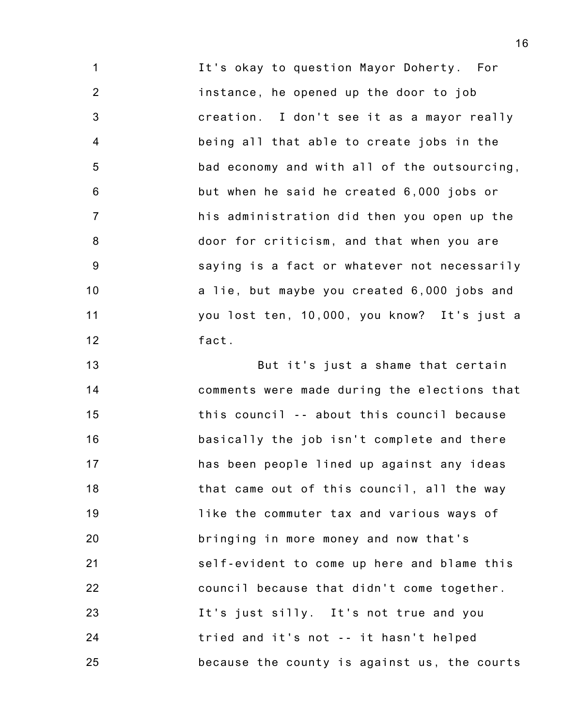1 2 3 4 5 6 7 8 9 10 11 12 It's okay to question Mayor Doherty. For instance, he opened up the door to job creation. I don't see it as a mayor really being all that able to create jobs in the bad economy and with all of the outsourcing, but when he said he created 6,000 jobs or his administration did then you open up the door for criticism, and that when you are saying is a fact or whatever not necessarily a lie, but maybe you created 6,000 jobs and you lost ten, 10,000, you know? It's just a fact.

13 14 15 16 17 18 19 20 21 22 23 24 25 But it's just a shame that certain comments were made during the elections that this council -- about this council because basically the job isn't complete and there has been people lined up against any ideas that came out of this council, all the way like the commuter tax and various ways of bringing in more money and now that's self-evident to come up here and blame this council because that didn't come together. It's just silly. It's not true and you tried and it's not -- it hasn't helped because the county is against us, the courts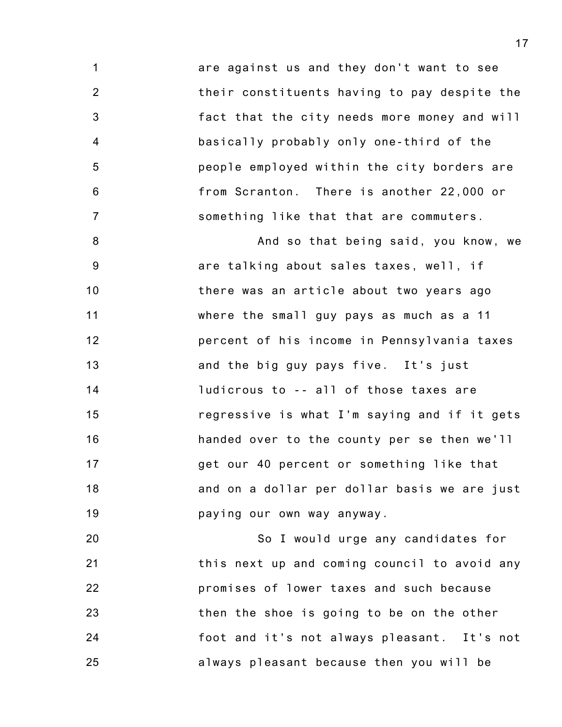1 2 3 4 5 6 7 are against us and they don't want to see their constituents having to pay despite the fact that the city needs more money and will basically probably only one-third of the people employed within the city borders are from Scranton. There is another 22,000 or something like that that are commuters.

8 9 10 11 12 13 14 15 16 17 18 19 And so that being said, you know, we are talking about sales taxes, well, if there was an article about two years ago where the small guy pays as much as a 11 percent of his income in Pennsylvania taxes and the big guy pays five. It's just ludicrous to -- all of those taxes are regressive is what I'm saying and if it gets handed over to the county per se then we'll get our 40 percent or something like that and on a dollar per dollar basis we are just paying our own way anyway.

20 21 22 23 24 25 So I would urge any candidates for this next up and coming council to avoid any promises of lower taxes and such because then the shoe is going to be on the other foot and it's not always pleasant. It's not always pleasant because then you will be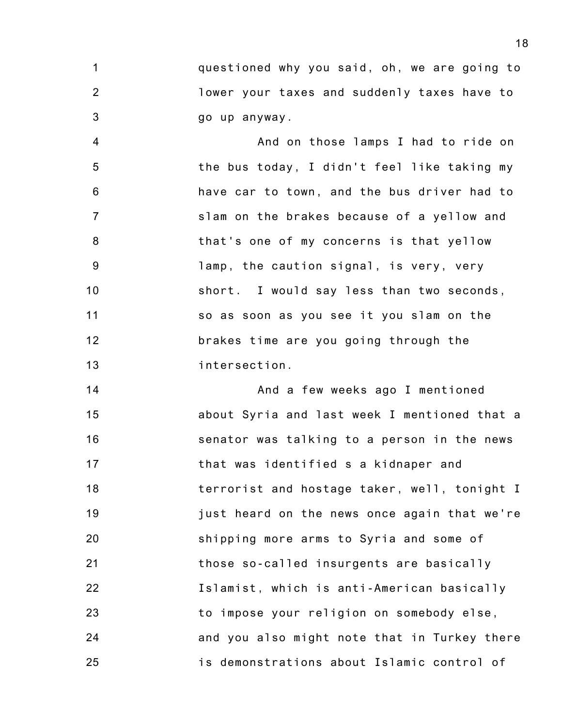1 2 3 questioned why you said, oh, we are going to lower your taxes and suddenly taxes have to go up anyway.

4 5 6 7 8 9 10 11 12 13 And on those lamps I had to ride on the bus today, I didn't feel like taking my have car to town, and the bus driver had to slam on the brakes because of a yellow and that's one of my concerns is that yellow lamp, the caution signal, is very, very short. I would say less than two seconds, so as soon as you see it you slam on the brakes time are you going through the intersection.

14 15 16 17 18 19 20 21 22 23 24 25 And a few weeks ago I mentioned about Syria and last week I mentioned that a senator was talking to a person in the news that was identified s a kidnaper and terrorist and hostage taker, well, tonight I just heard on the news once again that we're shipping more arms to Syria and some of those so-called insurgents are basically Islamist, which is anti-American basically to impose your religion on somebody else, and you also might note that in Turkey there is demonstrations about Islamic control of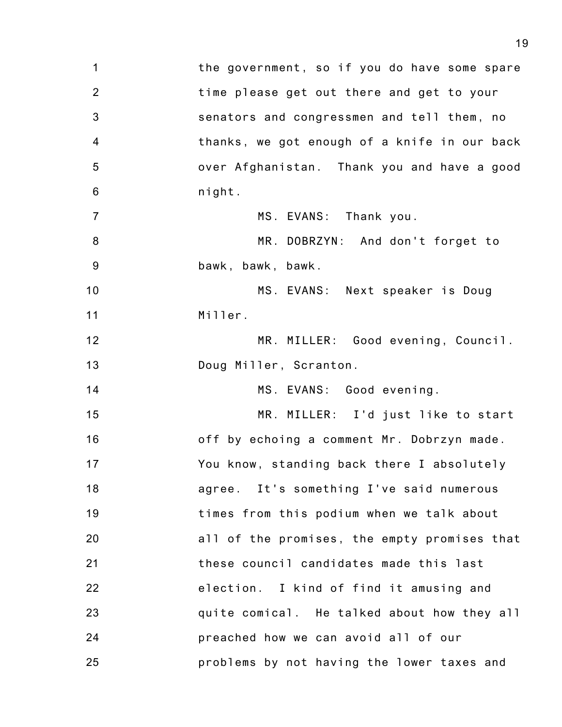1 2 3 4 5 6 7 8 9 10 11 12 13 14 15 16 17 18 19 20 21 22 23 24 25 the government, so if you do have some spare time please get out there and get to your senators and congressmen and tell them, no thanks, we got enough of a knife in our back over Afghanistan. Thank you and have a good night. MS. EVANS: Thank you. MR. DOBRZYN: And don't forget to bawk, bawk, bawk. MS. EVANS: Next speaker is Doug Miller. MR. MILLER: Good evening, Council. Doug Miller, Scranton. MS. EVANS: Good evening. MR. MILLER: I'd just like to start off by echoing a comment Mr. Dobrzyn made. You know, standing back there I absolutely agree. It's something I've said numerous times from this podium when we talk about all of the promises, the empty promises that these council candidates made this last election. I kind of find it amusing and quite comical. He talked about how they all preached how we can avoid all of our problems by not having the lower taxes and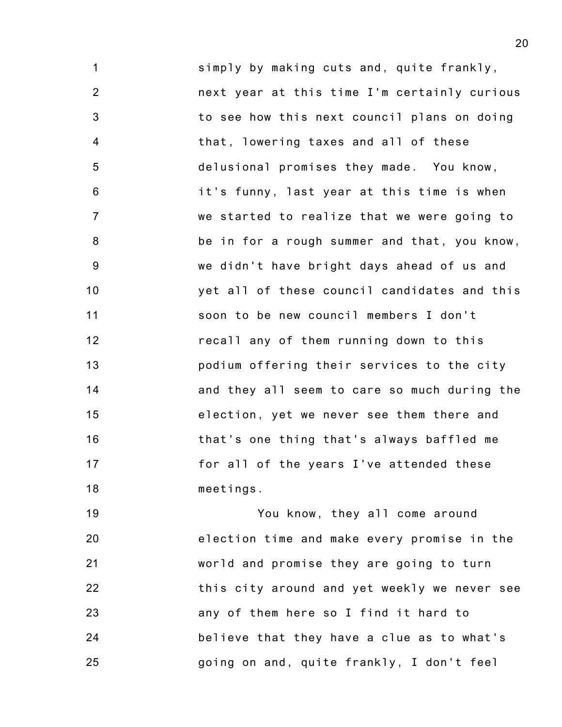1 2 3 4 5 6 7 8 9 10 11 12 13 14 15 16 17 18 simply by making cuts and, quite frankly, next year at this time I'm certainly curious to see how this next council plans on doing that, lowering taxes and all of these delusional promises they made. You know, it's funny, last year at this time is when we started to realize that we were going to be in for a rough summer and that, you know, we didn't have bright days ahead of us and yet all of these council candidates and this soon to be new council members I don't recall any of them running down to this podium offering their services to the city and they all seem to care so much during the election, yet we never see them there and that's one thing that's always baffled me for all of the years I've attended these meetings.

19 20 21 22 23 24 25 You know, they all come around election time and make every promise in the world and promise they are going to turn this city around and yet weekly we never see any of them here so I find it hard to believe that they have a clue as to what's going on and, quite frankly, I don't feel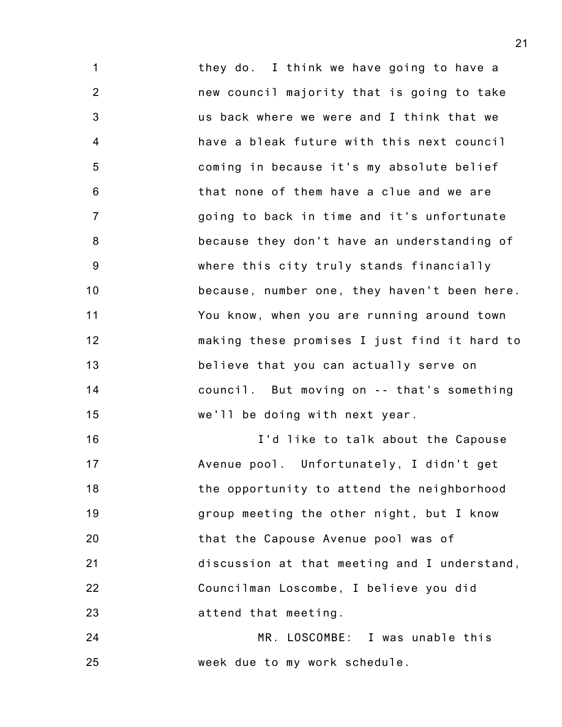1 2 3 4 5 6 7 8 9 10 11 12 13 14 15 they do. I think we have going to have a new council majority that is going to take us back where we were and I think that we have a bleak future with this next council coming in because it's my absolute belief that none of them have a clue and we are going to back in time and it's unfortunate because they don't have an understanding of where this city truly stands financially because, number one, they haven't been here. You know, when you are running around town making these promises I just find it hard to believe that you can actually serve on council. But moving on -- that's something we'll be doing with next year.

16 17 18 19 20 21 22 23 I'd like to talk about the Capouse Avenue pool. Unfortunately, I didn't get the opportunity to attend the neighborhood group meeting the other night, but I know that the Capouse Avenue pool was of discussion at that meeting and I understand, Councilman Loscombe, I believe you did attend that meeting.

24 25 MR. LOSCOMBE: I was unable this week due to my work schedule.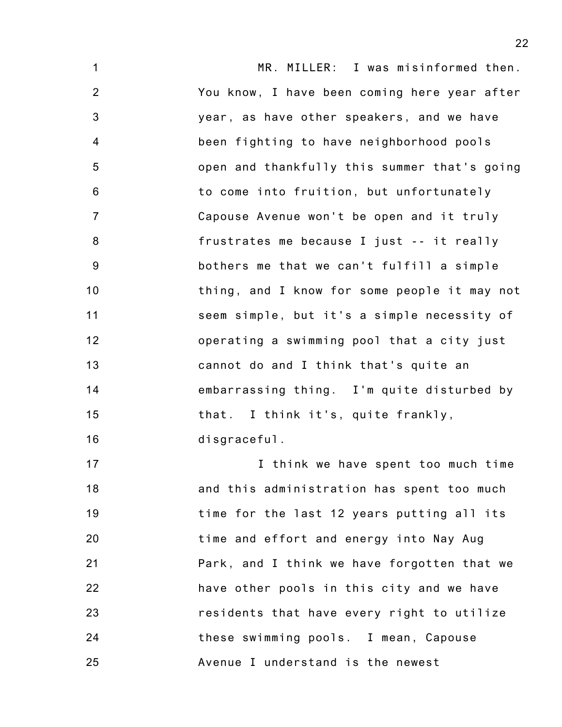1 2 3 4 5 6 7 8 9 10 11 12 13 14 15 16 MR. MILLER: I was misinformed then. You know, I have been coming here year after year, as have other speakers, and we have been fighting to have neighborhood pools open and thankfully this summer that's going to come into fruition, but unfortunately Capouse Avenue won't be open and it truly frustrates me because I just -- it really bothers me that we can't fulfill a simple thing, and I know for some people it may not seem simple, but it's a simple necessity of operating a swimming pool that a city just cannot do and I think that's quite an embarrassing thing. I'm quite disturbed by that. I think it's, quite frankly, disgraceful.

17 18 19 20 21 22 23 24 25 I think we have spent too much time and this administration has spent too much time for the last 12 years putting all its time and effort and energy into Nay Aug Park, and I think we have forgotten that we have other pools in this city and we have residents that have every right to utilize these swimming pools. I mean, Capouse Avenue I understand is the newest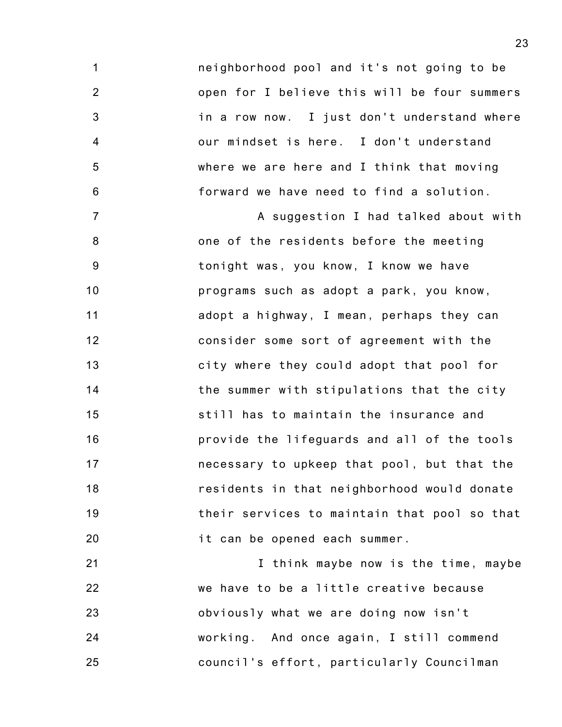neighborhood pool and it's not going to be open for I believe this will be four summers in a row now. I just don't understand where our mindset is here. I don't understand where we are here and I think that moving forward we have need to find a solution.

1

2

3

4

5

6

7 8 9 10 11 12 13 14 15 16 17 18 19 20 A suggestion I had talked about with one of the residents before the meeting tonight was, you know, I know we have programs such as adopt a park, you know, adopt a highway, I mean, perhaps they can consider some sort of agreement with the city where they could adopt that pool for the summer with stipulations that the city still has to maintain the insurance and provide the lifeguards and all of the tools necessary to upkeep that pool, but that the residents in that neighborhood would donate their services to maintain that pool so that it can be opened each summer.

21 22 23 24 25 I think maybe now is the time, maybe we have to be a little creative because obviously what we are doing now isn't working. And once again, I still commend council's effort, particularly Councilman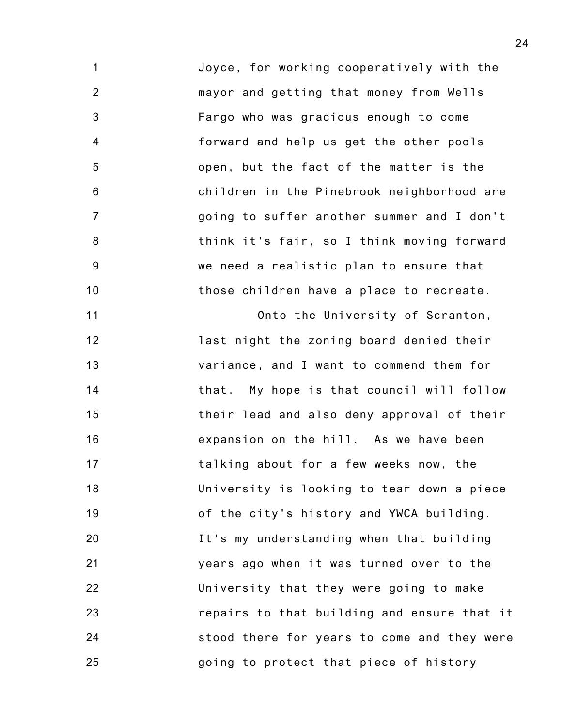1 2 3 4 5 6 7 8 9 10 Joyce, for working cooperatively with the mayor and getting that money from Wells Fargo who was gracious enough to come forward and help us get the other pools open, but the fact of the matter is the children in the Pinebrook neighborhood are going to suffer another summer and I don't think it's fair, so I think moving forward we need a realistic plan to ensure that those children have a place to recreate.

11 12 13 14 15 16 17 18 19 20 21 22 23 24 25 Onto the University of Scranton, last night the zoning board denied their variance, and I want to commend them for that. My hope is that council will follow their lead and also deny approval of their expansion on the hill. As we have been talking about for a few weeks now, the University is looking to tear down a piece of the city's history and YWCA building. It's my understanding when that building years ago when it was turned over to the University that they were going to make repairs to that building and ensure that it stood there for years to come and they were going to protect that piece of history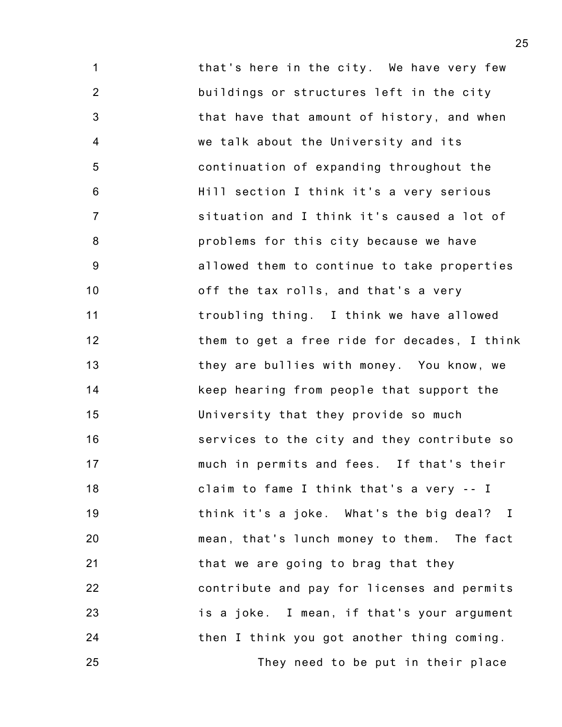1 2 3 4 5 6 7 8 9 10 11 12 13 14 15 16 17 18 19 20 21 22 23 24 that's here in the city. We have very few buildings or structures left in the city that have that amount of history, and when we talk about the University and its continuation of expanding throughout the Hill section I think it's a very serious situation and I think it's caused a lot of problems for this city because we have allowed them to continue to take properties off the tax rolls, and that's a very troubling thing. I think we have allowed them to get a free ride for decades, I think they are bullies with money. You know, we keep hearing from people that support the University that they provide so much services to the city and they contribute so much in permits and fees. If that's their claim to fame I think that's a very -- I think it's a joke. What's the big deal? I mean, that's lunch money to them. The fact that we are going to brag that they contribute and pay for licenses and permits is a joke. I mean, if that's your argument then I think you got another thing coming.

They need to be put in their place

25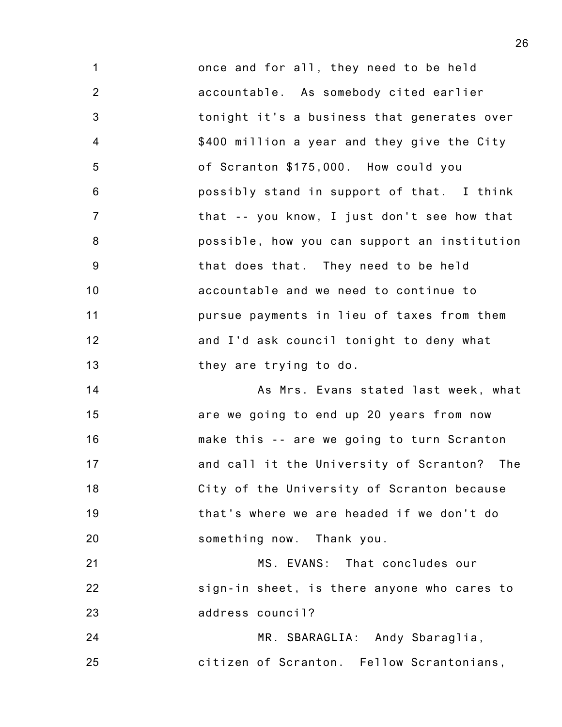1 2 3 4 5 6 7 8 9 10 11 12 13 once and for all, they need to be held accountable. As somebody cited earlier tonight it's a business that generates over \$400 million a year and they give the City of Scranton \$175,000. How could you possibly stand in support of that. I think that -- you know, I just don't see how that possible, how you can support an institution that does that. They need to be held accountable and we need to continue to pursue payments in lieu of taxes from them and I'd ask council tonight to deny what they are trying to do.

14 15 16 17 18 19 20 As Mrs. Evans stated last week, what are we going to end up 20 years from now make this -- are we going to turn Scranton and call it the University of Scranton? The City of the University of Scranton because that's where we are headed if we don't do something now. Thank you.

21 22 23 MS. EVANS: That concludes our sign-in sheet, is there anyone who cares to address council?

24 25 MR. SBARAGLIA: Andy Sbaraglia, citizen of Scranton. Fellow Scrantonians,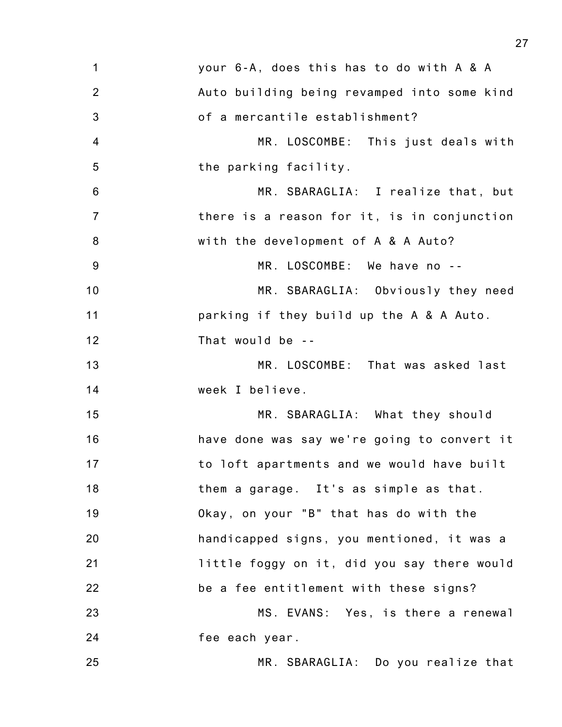| $\mathbf 1$    | your 6-A, does this has to do with A & A    |
|----------------|---------------------------------------------|
| $\overline{2}$ | Auto building being revamped into some kind |
| $\mathbf{3}$   | of a mercantile establishment?              |
| $\overline{4}$ | MR. LOSCOMBE: This just deals with          |
| 5              | the parking facility.                       |
| 6              | MR. SBARAGLIA: I realize that, but          |
| $\overline{7}$ | there is a reason for it, is in conjunction |
| 8              | with the development of A & A Auto?         |
| $9\,$          | MR. LOSCOMBE: We have no --                 |
| 10             | MR. SBARAGLIA: Obviously they need          |
| 11             | parking if they build up the A & A Auto.    |
| 12             | That would be --                            |
| 13             | MR. LOSCOMBE: That was asked last           |
| 14             | week I believe.                             |
| 15             | MR. SBARAGLIA: What they should             |
| 16             | have done was say we're going to convert it |
| 17             | to loft apartments and we would have built  |
| 18             | them a garage. It's as simple as that.      |
| 19             | Okay, on your "B" that has do with the      |
| 20             | handicapped signs, you mentioned, it was a  |
| 21             | little foggy on it, did you say there would |
| 22             | be a fee entitlement with these signs?      |
| 23             | MS. EVANS: Yes, is there a renewal          |
| 24             | fee each year.                              |
| 25             | MR. SBARAGLIA: Do you realize that          |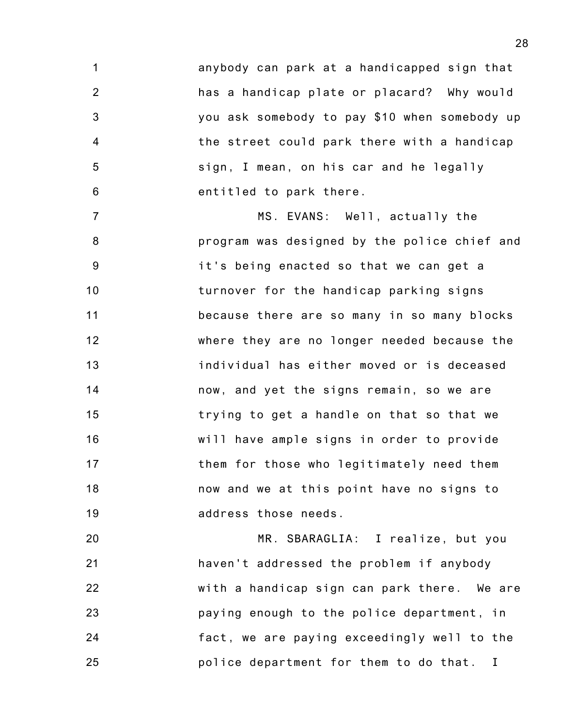1 2 3 4 5 6 anybody can park at a handicapped sign that has a handicap plate or placard? Why would you ask somebody to pay \$10 when somebody up the street could park there with a handicap sign, I mean, on his car and he legally entitled to park there.

7 8 9 10 11 12 13 14 15 16 17 18 19 MS. EVANS: Well, actually the program was designed by the police chief and it's being enacted so that we can get a turnover for the handicap parking signs because there are so many in so many blocks where they are no longer needed because the individual has either moved or is deceased now, and yet the signs remain, so we are trying to get a handle on that so that we will have ample signs in order to provide them for those who legitimately need them now and we at this point have no signs to address those needs.

20 21 22 23 24 25 MR. SBARAGLIA: I realize, but you haven't addressed the problem if anybody with a handicap sign can park there. We are paying enough to the police department, in fact, we are paying exceedingly well to the police department for them to do that. I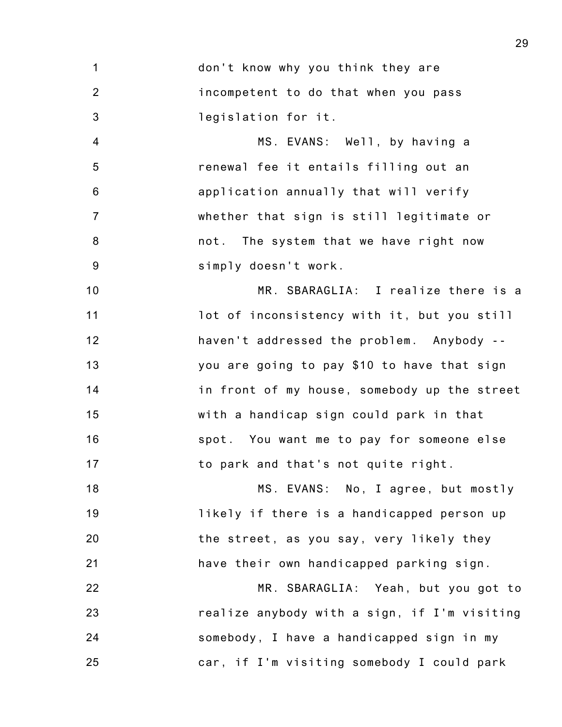1 2 3 don't know why you think they are incompetent to do that when you pass legislation for it.

4 5 6 7 8 9 MS. EVANS: Well, by having a renewal fee it entails filling out an application annually that will verify whether that sign is still legitimate or not. The system that we have right now simply doesn't work.

10 11 12 13 14 15 16 17 MR. SBARAGLIA: I realize there is a lot of inconsistency with it, but you still haven't addressed the problem. Anybody - you are going to pay \$10 to have that sign in front of my house, somebody up the street with a handicap sign could park in that spot. You want me to pay for someone else to park and that's not quite right.

18 19 20 21 MS. EVANS: No, I agree, but mostly likely if there is a handicapped person up the street, as you say, very likely they have their own handicapped parking sign.

22 23 24 25 MR. SBARAGLIA: Yeah, but you got to realize anybody with a sign, if I'm visiting somebody, I have a handicapped sign in my car, if I'm visiting somebody I could park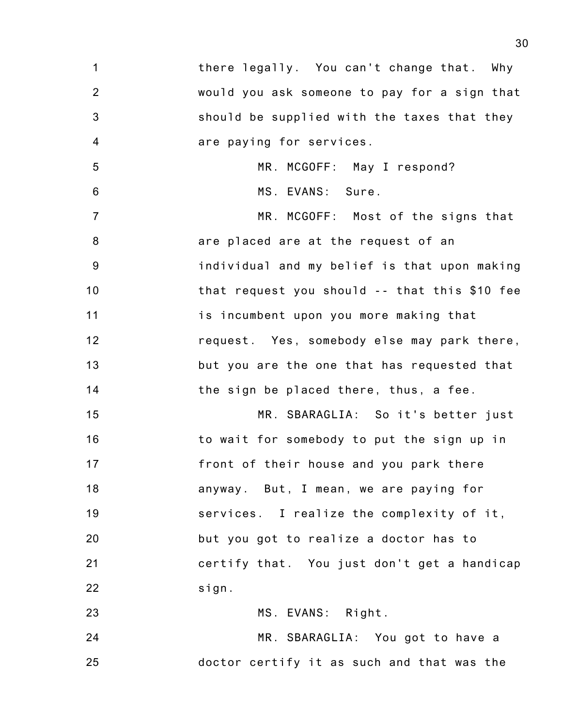| 1              | there legally. You can't change that. Why     |
|----------------|-----------------------------------------------|
| $\overline{2}$ | would you ask someone to pay for a sign that  |
| $\mathfrak{B}$ | should be supplied with the taxes that they   |
| $\overline{4}$ | are paying for services.                      |
| $\sqrt{5}$     | MR. MCGOFF: May I respond?                    |
| $\,6\,$        | MS. EVANS: Sure.                              |
| $\overline{7}$ | MR. MCGOFF: Most of the signs that            |
| $\bf 8$        | are placed are at the request of an           |
| $9\,$          | individual and my belief is that upon making  |
| 10             | that request you should -- that this \$10 fee |
| 11             | is incumbent upon you more making that        |
| 12             | request. Yes, somebody else may park there,   |
| 13             | but you are the one that has requested that   |
| 14             | the sign be placed there, thus, a fee.        |
| 15             | MR. SBARAGLIA: So it's better just            |
| 16             | to wait for somebody to put the sign up in    |
| 17             | front of their house and you park there       |
| 18             | anyway. But, I mean, we are paying for        |
| 19             | services. I realize the complexity of it,     |
| 20             | but you got to realize a doctor has to        |
| 21             | certify that. You just don't get a handicap   |

MS. EVANS: Right.

MR. SBARAGLIA: You got to have a

doctor certify it as such and that was the

22

sign.

23

24

25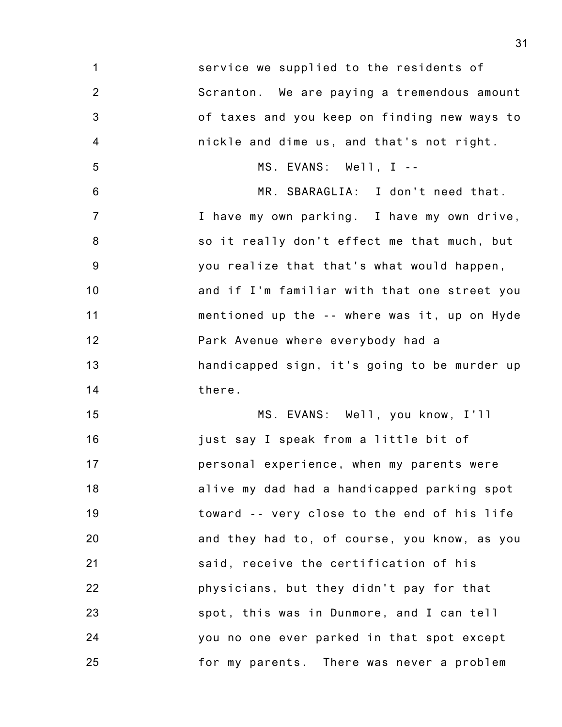1 2 3 4 5 6 7 8 9 10 11 12 13 14 15 16 17 18 19 20 21 22 23 24 25 service we supplied to the residents of Scranton. We are paying a tremendous amount of taxes and you keep on finding new ways to nickle and dime us, and that's not right. MS. EVANS: Well, I -- MR. SBARAGLIA: I don't need that. I have my own parking. I have my own drive, so it really don't effect me that much, but you realize that that's what would happen, and if I'm familiar with that one street you mentioned up the -- where was it, up on Hyde Park Avenue where everybody had a handicapped sign, it's going to be murder up there. MS. EVANS: Well, you know, I'll just say I speak from a little bit of personal experience, when my parents were alive my dad had a handicapped parking spot toward -- very close to the end of his life and they had to, of course, you know, as you said, receive the certification of his physicians, but they didn't pay for that spot, this was in Dunmore, and I can tell you no one ever parked in that spot except for my parents. There was never a problem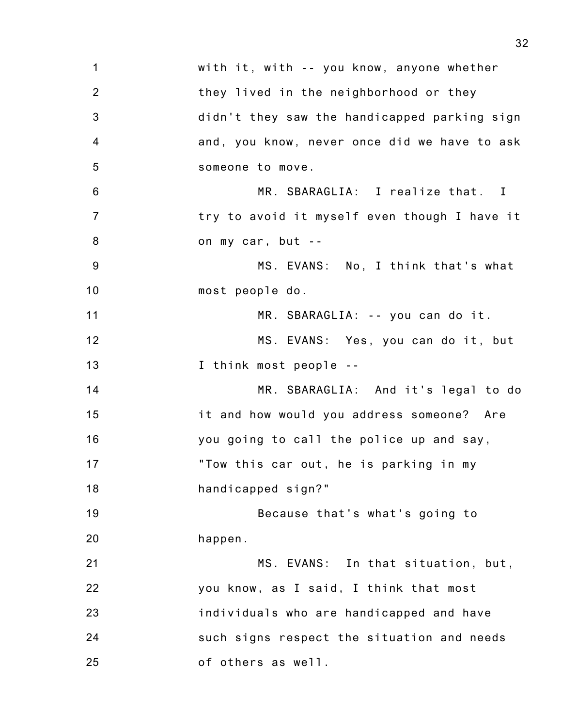| $\mathbf 1$    | with it, with -- you know, anyone whether    |
|----------------|----------------------------------------------|
| $\overline{2}$ | they lived in the neighborhood or they       |
| 3              | didn't they saw the handicapped parking sign |
| $\overline{4}$ | and, you know, never once did we have to ask |
| 5              | someone to move.                             |
| 6              | MR. SBARAGLIA: I realize that. I             |
| $\overline{7}$ | try to avoid it myself even though I have it |
| 8              | on my car, but --                            |
| $9\,$          | MS. EVANS: No, I think that's what           |
| 10             | most people do.                              |
| 11             | MR. SBARAGLIA: -- you can do it.             |
| 12             | MS. EVANS: Yes, you can do it, but           |
| 13             | I think most people --                       |
| 14             | MR. SBARAGLIA: And it's legal to do          |
| 15             | it and how would you address someone? Are    |
| 16             | you going to call the police up and say,     |
| 17             | "Tow this car out, he is parking in my       |
| 18             | handicapped sign?"                           |
| 19             | Because that's what's going to               |
| 20             | happen.                                      |
| 21             | MS. EVANS: In that situation, but,           |
| 22             | you know, as I said, I think that most       |
| 23             | individuals who are handicapped and have     |
| 24             | such signs respect the situation and needs   |
| 25             | of others as well.                           |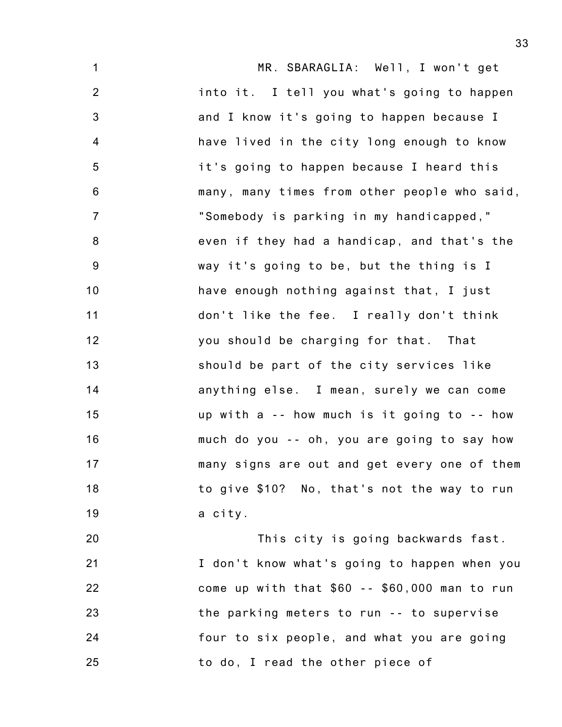1 2 3 4 5 6 7 8 9 10 11 12 13 14 15 16 17 18 19 MR. SBARAGLIA: Well, I won't get into it. I tell you what's going to happen and I know it's going to happen because I have lived in the city long enough to know it's going to happen because I heard this many, many times from other people who said, "Somebody is parking in my handicapped," even if they had a handicap, and that's the way it's going to be, but the thing is I have enough nothing against that, I just don't like the fee. I really don't think you should be charging for that. That should be part of the city services like anything else. I mean, surely we can come up with a -- how much is it going to -- how much do you -- oh, you are going to say how many signs are out and get every one of them to give \$10? No, that's not the way to run a city.

20 21 22 23 24 25 This city is going backwards fast. I don't know what's going to happen when you come up with that \$60 -- \$60,000 man to run the parking meters to run -- to supervise four to six people, and what you are going to do, I read the other piece of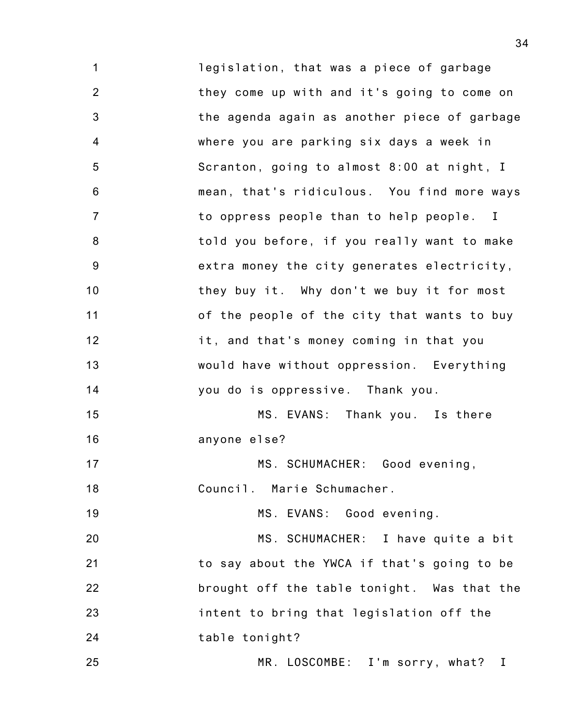1 2 3 4 5 6 7 8 9 10 11 12 13 14 15 16 17 18 19 20 21 22 23 24 25 legislation, that was a piece of garbage they come up with and it's going to come on the agenda again as another piece of garbage where you are parking six days a week in Scranton, going to almost 8:00 at night, I mean, that's ridiculous. You find more ways to oppress people than to help people. I told you before, if you really want to make extra money the city generates electricity, they buy it. Why don't we buy it for most of the people of the city that wants to buy it, and that's money coming in that you would have without oppression. Everything you do is oppressive. Thank you. MS. EVANS: Thank you. Is there anyone else? MS. SCHUMACHER: Good evening, Council. Marie Schumacher. MS. EVANS: Good evening. MS. SCHUMACHER: I have quite a bit to say about the YWCA if that's going to be brought off the table tonight. Was that the intent to bring that legislation off the table tonight? MR. LOSCOMBE: I'm sorry, what? I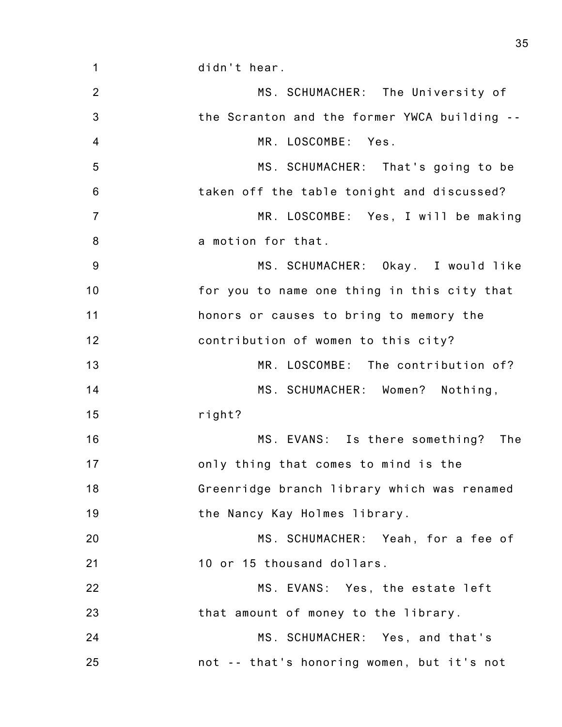1 2 3 4 5 6 7 8 9 10 11 12 13 14 15 16 17 18 19 20 21 22 23 24 25 didn't hear. MS. SCHUMACHER: The University of the Scranton and the former YWCA building -- MR. LOSCOMBE: Yes. MS. SCHUMACHER: That's going to be taken off the table tonight and discussed? MR. LOSCOMBE: Yes, I will be making a motion for that. MS. SCHUMACHER: Okay. I would like for you to name one thing in this city that honors or causes to bring to memory the contribution of women to this city? MR. LOSCOMBE: The contribution of? MS. SCHUMACHER: Women? Nothing, right? MS. EVANS: Is there something? The only thing that comes to mind is the Greenridge branch library which was renamed the Nancy Kay Holmes library. MS. SCHUMACHER: Yeah, for a fee of 10 or 15 thousand dollars. MS. EVANS: Yes, the estate left that amount of money to the library. MS. SCHUMACHER: Yes, and that's not -- that's honoring women, but it's not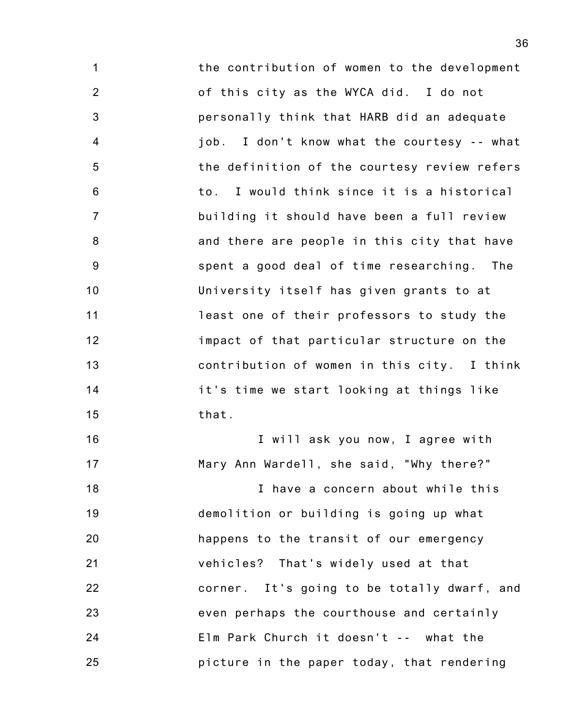1 2 3 4 5 6 7 8 9 10 11 12 13 14 15 the contribution of women to the development of this city as the WYCA did. I do not personally think that HARB did an adequate job. I don't know what the courtesy -- what the definition of the courtesy review refers to. I would think since it is a historical building it should have been a full review and there are people in this city that have spent a good deal of time researching. The University itself has given grants to at least one of their professors to study the impact of that particular structure on the contribution of women in this city. I think it's time we start looking at things like that.

16 17 I will ask you now, I agree with Mary Ann Wardell, she said, "Why there?"

18 19 20 21 22 23 24 25 I have a concern about while this demolition or building is going up what happens to the transit of our emergency vehicles? That's widely used at that corner. It's going to be totally dwarf, and even perhaps the courthouse and certainly Elm Park Church it doesn't -- what the picture in the paper today, that rendering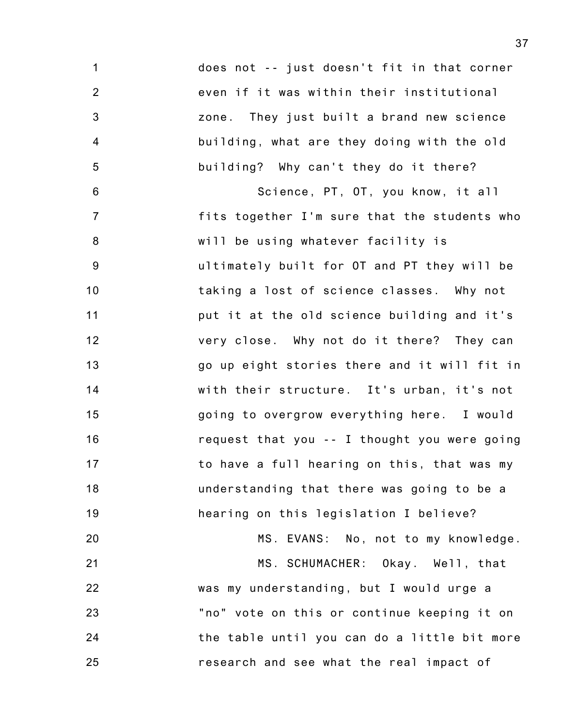1 2 3 4 5 6 7 8 9 10 11 12 13 14 15 16 17 18 19 20 21 22 23 24 25 does not -- just doesn't fit in that corner even if it was within their institutional zone. They just built a brand new science building, what are they doing with the old building? Why can't they do it there? Science, PT, OT, you know, it all fits together I'm sure that the students who will be using whatever facility is ultimately built for OT and PT they will be taking a lost of science classes. Why not put it at the old science building and it's very close. Why not do it there? They can go up eight stories there and it will fit in with their structure. It's urban, it's not going to overgrow everything here. I would request that you -- I thought you were going to have a full hearing on this, that was my understanding that there was going to be a hearing on this legislation I believe? MS. EVANS: No, not to my knowledge. MS. SCHUMACHER: Okay. Well, that was my understanding, but I would urge a "no" vote on this or continue keeping it on the table until you can do a little bit more research and see what the real impact of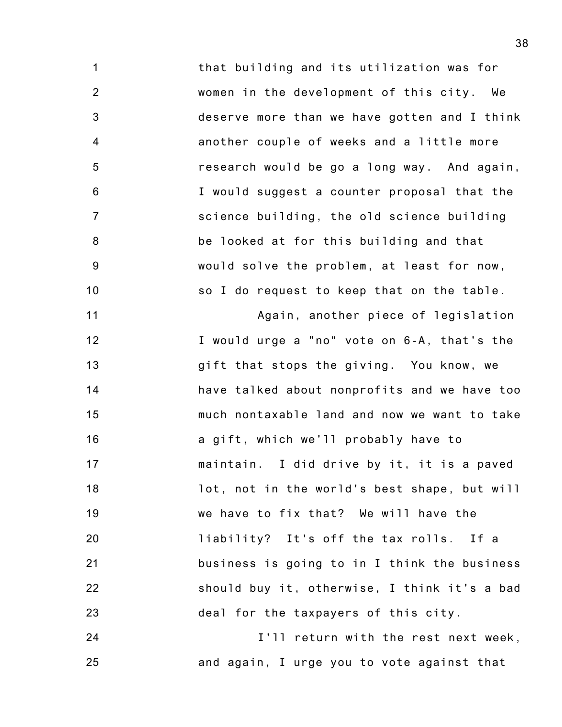1 2 3 4 5 6 7 8 9 10 that building and its utilization was for women in the development of this city. We deserve more than we have gotten and I think another couple of weeks and a little more research would be go a long way. And again, I would suggest a counter proposal that the science building, the old science building be looked at for this building and that would solve the problem, at least for now, so I do request to keep that on the table.

11 12 13 14 15 16 17 18 19 20 21 22 23 Again, another piece of legislation I would urge a "no" vote on 6-A, that's the gift that stops the giving. You know, we have talked about nonprofits and we have too much nontaxable land and now we want to take a gift, which we'll probably have to maintain. I did drive by it, it is a paved lot, not in the world's best shape, but will we have to fix that? We will have the liability? It's off the tax rolls. If a business is going to in I think the business should buy it, otherwise, I think it's a bad deal for the taxpayers of this city.

24 25 I'll return with the rest next week, and again, I urge you to vote against that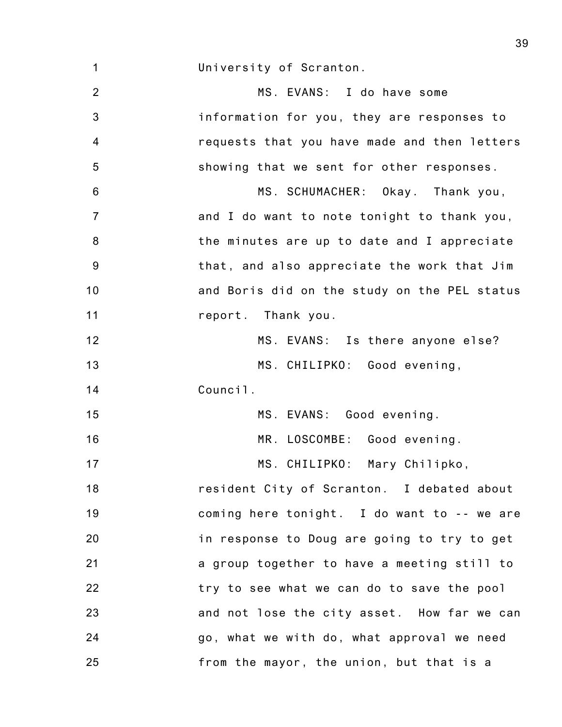1 University of Scranton.

2 3 4 5 6 7 8 9 10 11 12 13 14 15 16 17 18 19 20 21 22 23 24 25 MS. EVANS: I do have some information for you, they are responses to requests that you have made and then letters showing that we sent for other responses. MS. SCHUMACHER: Okay. Thank you, and I do want to note tonight to thank you, the minutes are up to date and I appreciate that, and also appreciate the work that Jim and Boris did on the study on the PEL status report. Thank you. MS. EVANS: Is there anyone else? MS. CHILIPKO: Good evening, Council. MS. EVANS: Good evening. MR. LOSCOMBE: Good evening. MS. CHILIPKO: Mary Chilipko, resident City of Scranton. I debated about coming here tonight. I do want to -- we are in response to Doug are going to try to get a group together to have a meeting still to try to see what we can do to save the pool and not lose the city asset. How far we can go, what we with do, what approval we need from the mayor, the union, but that is a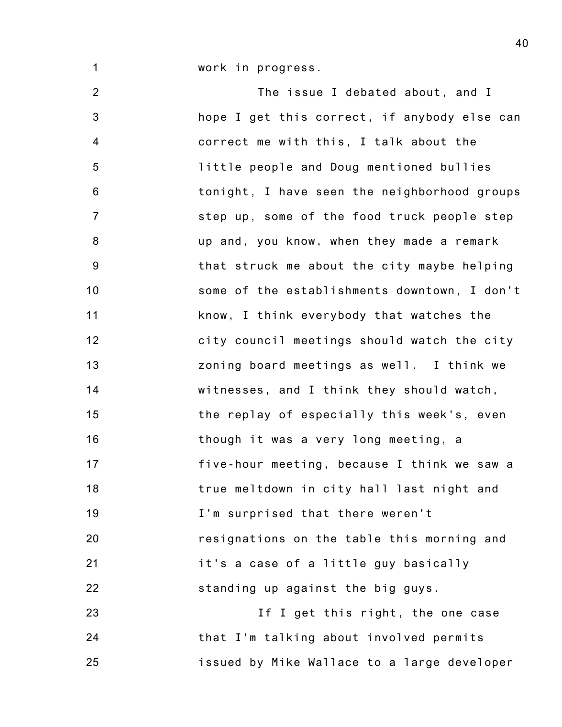work in progress.

1

2 3 4 5 6 7 8 9 10 11 12 13 14 15 16 17 18 19 20 21 22 23 The issue I debated about, and I hope I get this correct, if anybody else can correct me with this, I talk about the little people and Doug mentioned bullies tonight, I have seen the neighborhood groups step up, some of the food truck people step up and, you know, when they made a remark that struck me about the city maybe helping some of the establishments downtown, I don't know, I think everybody that watches the city council meetings should watch the city zoning board meetings as well. I think we witnesses, and I think they should watch, the replay of especially this week's, even though it was a very long meeting, a five-hour meeting, because I think we saw a true meltdown in city hall last night and I'm surprised that there weren't resignations on the table this morning and it's a case of a little guy basically standing up against the big guys.

24 25 If I get this right, the one case that I'm talking about involved permits issued by Mike Wallace to a large developer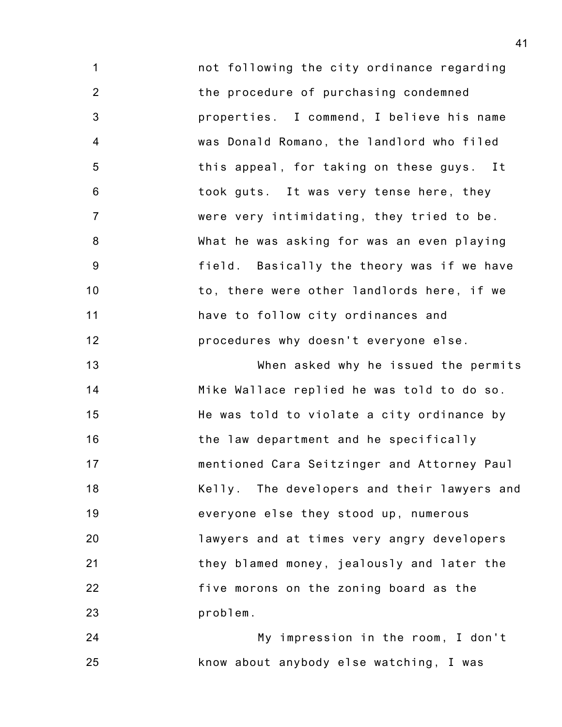1 2 3 4 5 6 7 8 9 10 11 12 not following the city ordinance regarding the procedure of purchasing condemned properties. I commend, I believe his name was Donald Romano, the landlord who filed this appeal, for taking on these guys. It took guts. It was very tense here, they were very intimidating, they tried to be. What he was asking for was an even playing field. Basically the theory was if we have to, there were other landlords here, if we have to follow city ordinances and procedures why doesn't everyone else.

13 14 15 16 17 18 19 20 21 22 23 When asked why he issued the permits Mike Wallace replied he was told to do so. He was told to violate a city ordinance by the law department and he specifically mentioned Cara Seitzinger and Attorney Paul Kelly. The developers and their lawyers and everyone else they stood up, numerous lawyers and at times very angry developers they blamed money, jealously and later the five morons on the zoning board as the problem.

24 25 My impression in the room, I don't know about anybody else watching, I was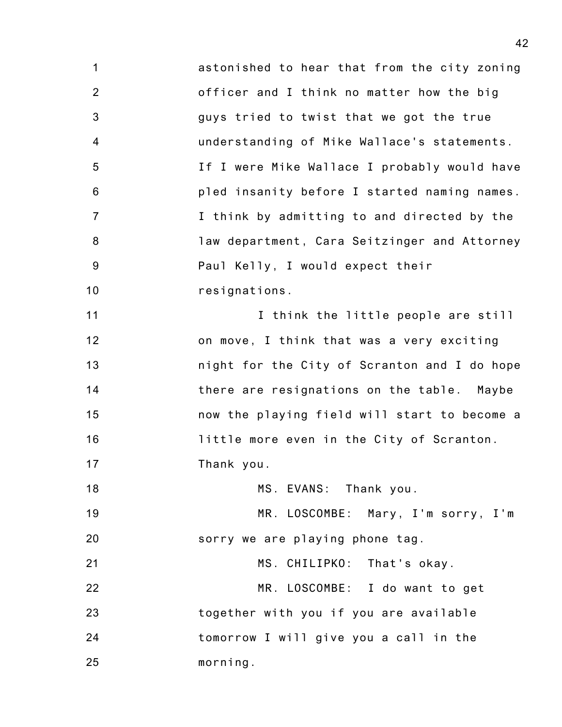1 2 3 4 5 6 7 8 9 10 11 12 13 14 15 16 17 18 19 20 21 22 23 24 25 astonished to hear that from the city zoning officer and I think no matter how the big guys tried to twist that we got the true understanding of Mike Wallace's statements. If I were Mike Wallace I probably would have pled insanity before I started naming names. I think by admitting to and directed by the law department, Cara Seitzinger and Attorney Paul Kelly, I would expect their resignations. I think the little people are still on move, I think that was a very exciting night for the City of Scranton and I do hope there are resignations on the table. Maybe now the playing field will start to become a little more even in the City of Scranton. Thank you. MS. EVANS: Thank you. MR. LOSCOMBE: Mary, I'm sorry, I'm sorry we are playing phone tag. MS. CHILIPKO: That's okay. MR. LOSCOMBE: I do want to get together with you if you are available tomorrow I will give you a call in the morning.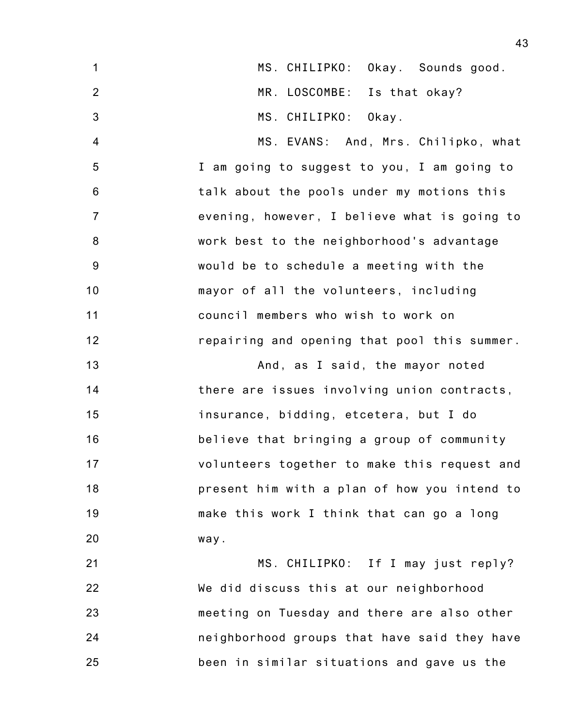| $\mathbf{1}$     | MS. CHILIPKO: Okay. Sounds good.             |
|------------------|----------------------------------------------|
| $\overline{2}$   | MR. LOSCOMBE: Is that okay?                  |
|                  |                                              |
| $\mathbf{3}$     | MS. CHILIPKO: Okay.                          |
| 4                | MS. EVANS: And, Mrs. Chilipko, what          |
| $\sqrt{5}$       | I am going to suggest to you, I am going to  |
| 6                | talk about the pools under my motions this   |
| $\overline{7}$   | evening, however, I believe what is going to |
| 8                | work best to the neighborhood's advantage    |
| $\boldsymbol{9}$ | would be to schedule a meeting with the      |
| 10               | mayor of all the volunteers, including       |
| 11               | council members who wish to work on          |
| 12               | repairing and opening that pool this summer. |
| 13               | And, as I said, the mayor noted              |
| 14               | there are issues involving union contracts,  |
| 15               | insurance, bidding, etcetera, but I do       |
| 16               | believe that bringing a group of community   |
| 17               | volunteers together to make this request and |
| 18               | present him with a plan of how you intend to |
| 19               | make this work I think that can go a long    |
| 20               | way.                                         |
|                  |                                              |

21 22 23 24 25 MS. CHILIPKO: If I may just reply? We did discuss this at our neighborhood meeting on Tuesday and there are also other neighborhood groups that have said they have been in similar situations and gave us the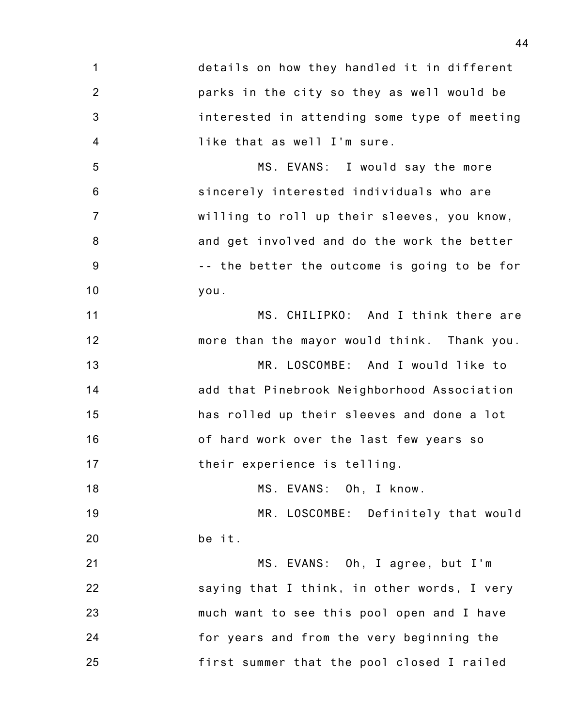1 2 3 4 details on how they handled it in different parks in the city so they as well would be interested in attending some type of meeting like that as well I'm sure.

5 6 7 8 9 10 MS. EVANS: I would say the more sincerely interested individuals who are willing to roll up their sleeves, you know, and get involved and do the work the better -- the better the outcome is going to be for you.

11 12 MS. CHILIPKO: And I think there are more than the mayor would think. Thank you.

13 14 15 16 17 MR. LOSCOMBE: And I would like to add that Pinebrook Neighborhood Association has rolled up their sleeves and done a lot of hard work over the last few years so their experience is telling.

18 MS. EVANS: Oh, I know.

19 20 MR. LOSCOMBE: Definitely that would be it.

21 22 23 24 25 MS. EVANS: Oh, I agree, but I'm saying that I think, in other words, I very much want to see this pool open and I have for years and from the very beginning the first summer that the pool closed I railed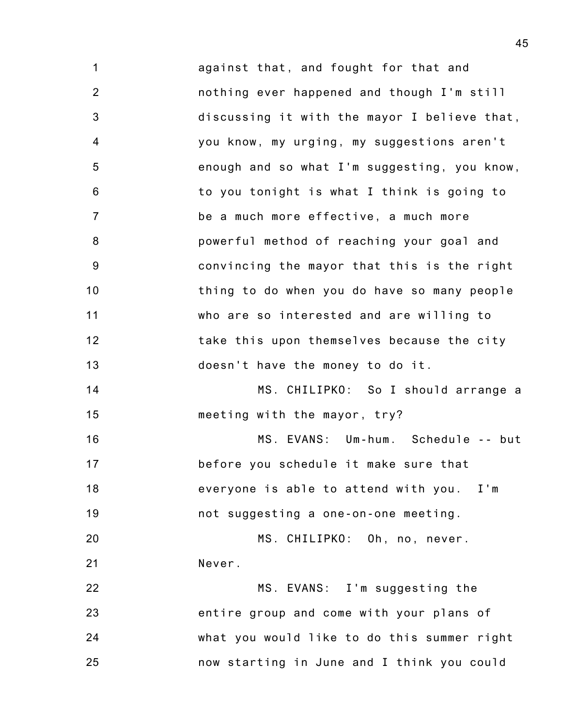1 2 3 4 5 6 7 8 9 10 11 12 13 14 against that, and fought for that and nothing ever happened and though I'm still discussing it with the mayor I believe that, you know, my urging, my suggestions aren't enough and so what I'm suggesting, you know, to you tonight is what I think is going to be a much more effective, a much more powerful method of reaching your goal and convincing the mayor that this is the right thing to do when you do have so many people who are so interested and are willing to take this upon themselves because the city doesn't have the money to do it. MS. CHILIPKO: So I should arrange a

15 meeting with the mayor, try?

16 17 18 19 MS. EVANS: Um-hum. Schedule -- but before you schedule it make sure that everyone is able to attend with you. I'm not suggesting a one-on-one meeting.

20 21 MS. CHILIPKO: Oh, no, never. Never.

22 23 24 25 MS. EVANS: I'm suggesting the entire group and come with your plans of what you would like to do this summer right now starting in June and I think you could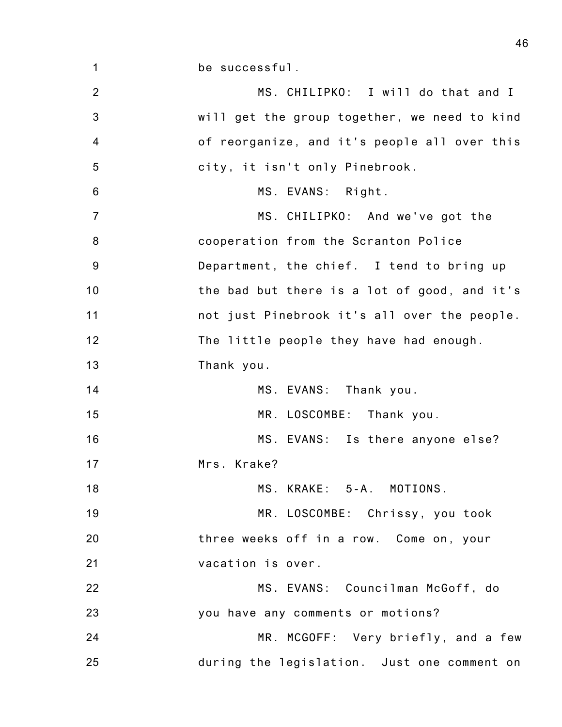be successful.

1

2 3 4 5 6 7 8 9 10 11 12 13 14 15 16 17 18 19 20 21 22 23 24 25 MS. CHILIPKO: I will do that and I will get the group together, we need to kind of reorganize, and it's people all over this city, it isn't only Pinebrook. MS. EVANS: Right. MS. CHILIPKO: And we've got the cooperation from the Scranton Police Department, the chief. I tend to bring up the bad but there is a lot of good, and it's not just Pinebrook it's all over the people. The little people they have had enough. Thank you. MS. EVANS: Thank you. MR. LOSCOMBE: Thank you. MS. EVANS: Is there anyone else? Mrs. Krake? MS. KRAKE: 5-A. MOTIONS. MR. LOSCOMBE: Chrissy, you took three weeks off in a row. Come on, your vacation is over. MS. EVANS: Councilman McGoff, do you have any comments or motions? MR. MCGOFF: Very briefly, and a few during the legislation. Just one comment on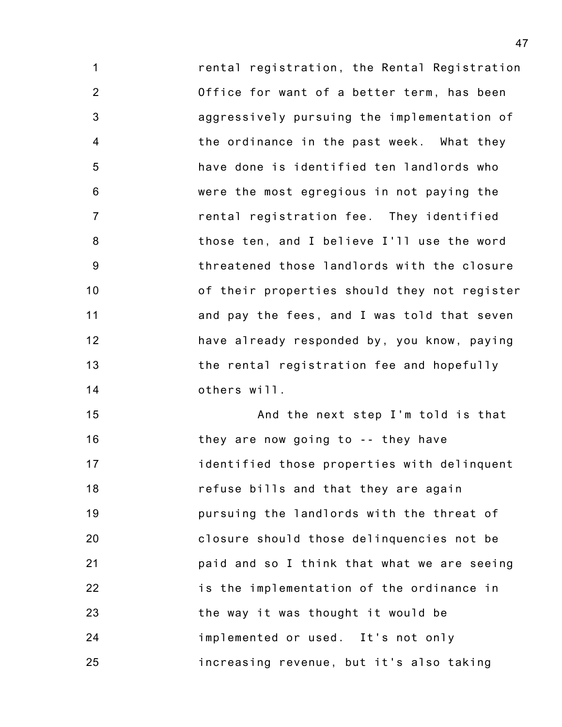1 2 3 4 5 6 7 8 9 10 11 12 13 14 rental registration, the Rental Registration Office for want of a better term, has been aggressively pursuing the implementation of the ordinance in the past week. What they have done is identified ten landlords who were the most egregious in not paying the rental registration fee. They identified those ten, and I believe I'll use the word threatened those landlords with the closure of their properties should they not register and pay the fees, and I was told that seven have already responded by, you know, paying the rental registration fee and hopefully others will.

15 16 17 18 19 20 21 22 23 24 25 And the next step I'm told is that they are now going to -- they have identified those properties with delinquent refuse bills and that they are again pursuing the landlords with the threat of closure should those delinquencies not be paid and so I think that what we are seeing is the implementation of the ordinance in the way it was thought it would be implemented or used. It's not only increasing revenue, but it's also taking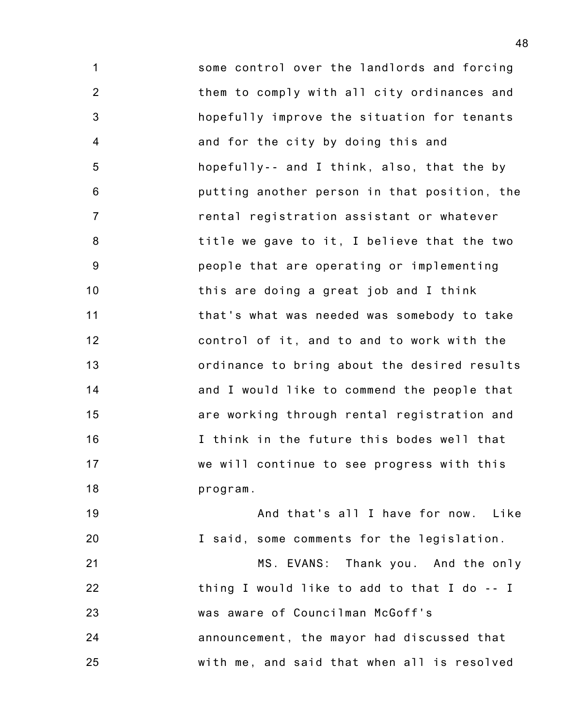1 2 3 4 5 6 7 8 9 10 11 12 13 14 15 16 17 18 some control over the landlords and forcing them to comply with all city ordinances and hopefully improve the situation for tenants and for the city by doing this and hopefully-- and I think, also, that the by putting another person in that position, the rental registration assistant or whatever title we gave to it, I believe that the two people that are operating or implementing this are doing a great job and I think that's what was needed was somebody to take control of it, and to and to work with the ordinance to bring about the desired results and I would like to commend the people that are working through rental registration and I think in the future this bodes well that we will continue to see progress with this program.

19 20 And that's all I have for now. Like I said, some comments for the legislation.

21 22 23 24 25 MS. EVANS: Thank you. And the only thing I would like to add to that I do -- I was aware of Councilman McGoff's announcement, the mayor had discussed that with me, and said that when all is resolved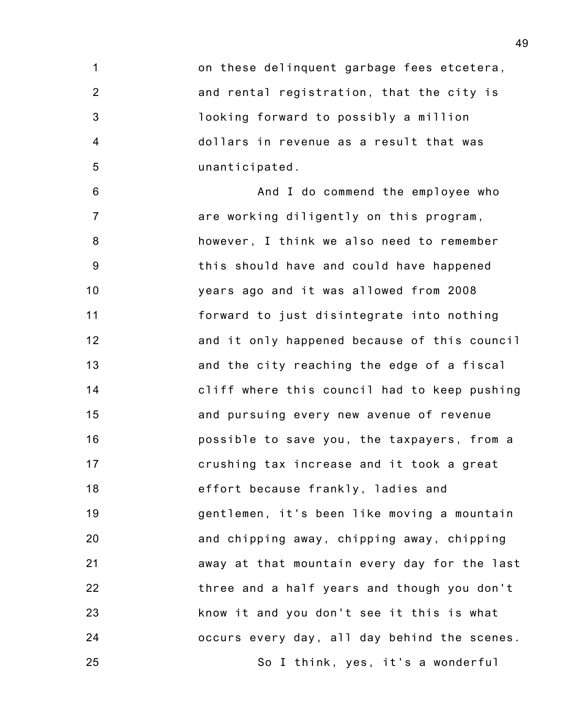1 2 3 4 5 on these delinquent garbage fees etcetera, and rental registration, that the city is looking forward to possibly a million dollars in revenue as a result that was unanticipated.

6 7 8 9 10 11 12 13 14 15 16 17 18 19 20 21 22 23 24 25 And I do commend the employee who are working diligently on this program, however, I think we also need to remember this should have and could have happened years ago and it was allowed from 2008 forward to just disintegrate into nothing and it only happened because of this council and the city reaching the edge of a fiscal cliff where this council had to keep pushing and pursuing every new avenue of revenue possible to save you, the taxpayers, from a crushing tax increase and it took a great effort because frankly, ladies and gentlemen, it's been like moving a mountain and chipping away, chipping away, chipping away at that mountain every day for the last three and a half years and though you don't know it and you don't see it this is what occurs every day, all day behind the scenes. So I think, yes, it's a wonderful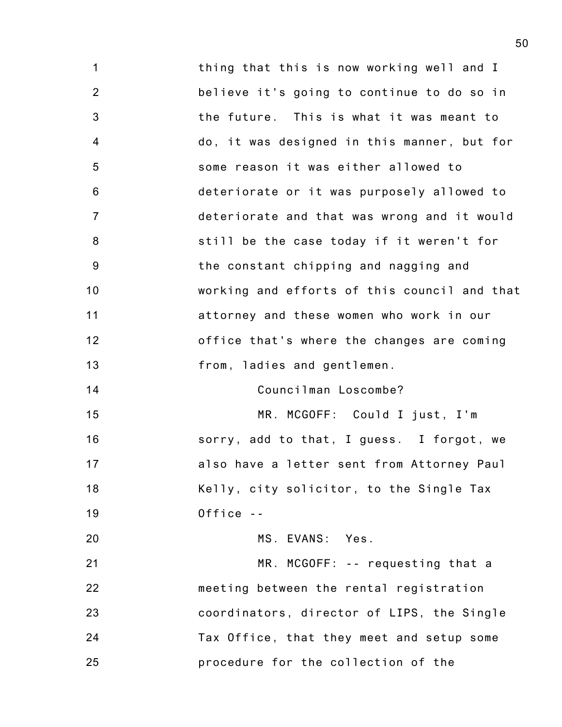1 2 3 4 5 6 7 8 9 10 11 12 13 14 15 16 17 18 19 20 21 22 23 24 25 thing that this is now working well and I believe it's going to continue to do so in the future. This is what it was meant to do, it was designed in this manner, but for some reason it was either allowed to deteriorate or it was purposely allowed to deteriorate and that was wrong and it would still be the case today if it weren't for the constant chipping and nagging and working and efforts of this council and that attorney and these women who work in our office that's where the changes are coming from, ladies and gentlemen. Councilman Loscombe? MR. MCGOFF: Could I just, I'm sorry, add to that, I guess. I forgot, we also have a letter sent from Attorney Paul Kelly, city solicitor, to the Single Tax Office -- MS. EVANS: Yes. MR. MCGOFF: -- requesting that a meeting between the rental registration coordinators, director of LIPS, the Single Tax Office, that they meet and setup some procedure for the collection of the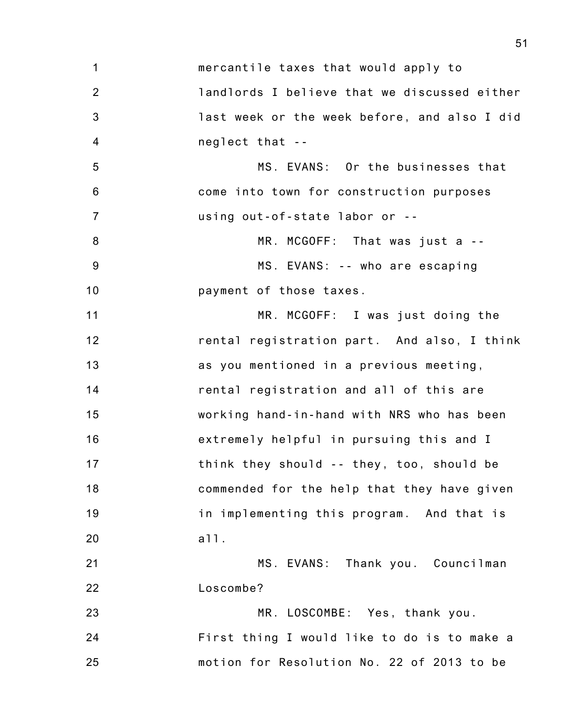1 2 3 4 5 6 7 8 9 10 11 12 13 14 15 16 17 18 19 20 mercantile taxes that would apply to landlords I believe that we discussed either last week or the week before, and also I did neglect that -- MS. EVANS: Or the businesses that come into town for construction purposes using out-of-state labor or -- MR. MCGOFF: That was just a -- MS. EVANS: -- who are escaping payment of those taxes. MR. MCGOFF: I was just doing the rental registration part. And also, I think as you mentioned in a previous meeting, rental registration and all of this are working hand-in-hand with NRS who has been extremely helpful in pursuing this and I think they should -- they, too, should be commended for the help that they have given in implementing this program. And that is all.

21 22 MS. EVANS: Thank you. Councilman Loscombe?

23 24 25 MR. LOSCOMBE: Yes, thank you. First thing I would like to do is to make a motion for Resolution No. 22 of 2013 to be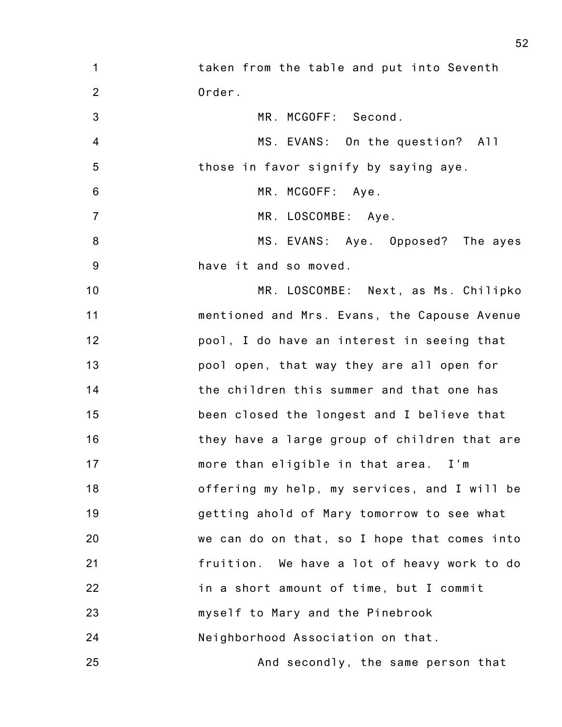- 1 2 taken from the table and put into Seventh Order.
- 3 MR. MCGOFF: Second.
- 4 5 MS. EVANS: On the question? All those in favor signify by saying aye.
- 6 MR. MCGOFF: Aye.

7

- MR. LOSCOMBE: Aye.
- 8 9 MS. EVANS: Aye. Opposed? The ayes have it and so moved.
- 10 11 12 13 14 15 16 17 18 19 20 21 22 23 24 MR. LOSCOMBE: Next, as Ms. Chilipko mentioned and Mrs. Evans, the Capouse Avenue pool, I do have an interest in seeing that pool open, that way they are all open for the children this summer and that one has been closed the longest and I believe that they have a large group of children that are more than eligible in that area. I'm offering my help, my services, and I will be getting ahold of Mary tomorrow to see what we can do on that, so I hope that comes into fruition. We have a lot of heavy work to do in a short amount of time, but I commit myself to Mary and the Pinebrook Neighborhood Association on that.
- 25 And secondly, the same person that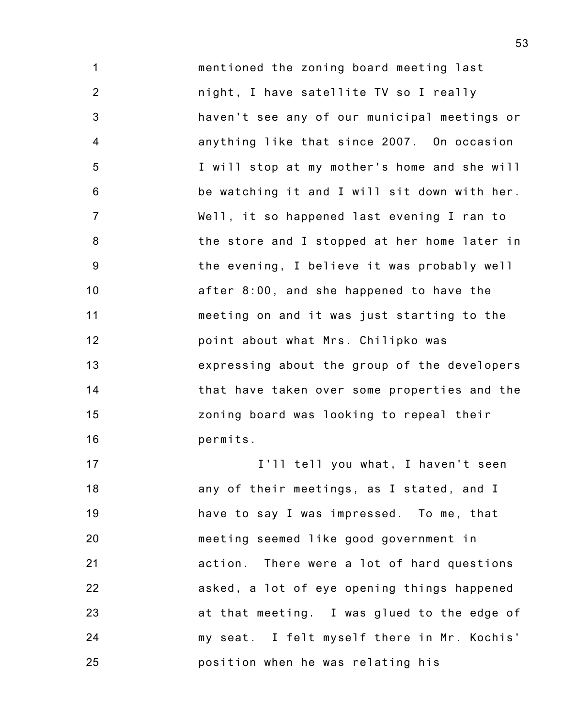1 2 3 4 5 6 7 8 9 10 11 12 13 14 15 16 mentioned the zoning board meeting last night, I have satellite TV so I really haven't see any of our municipal meetings or anything like that since 2007. On occasion I will stop at my mother's home and she will be watching it and I will sit down with her. Well, it so happened last evening I ran to the store and I stopped at her home later in the evening, I believe it was probably well after 8:00, and she happened to have the meeting on and it was just starting to the point about what Mrs. Chilipko was expressing about the group of the developers that have taken over some properties and the zoning board was looking to repeal their permits.

17 18 19 20 21 22 23 24 25 I'll tell you what, I haven't seen any of their meetings, as I stated, and I have to say I was impressed. To me, that meeting seemed like good government in action. There were a lot of hard questions asked, a lot of eye opening things happened at that meeting. I was glued to the edge of my seat. I felt myself there in Mr. Kochis' position when he was relating his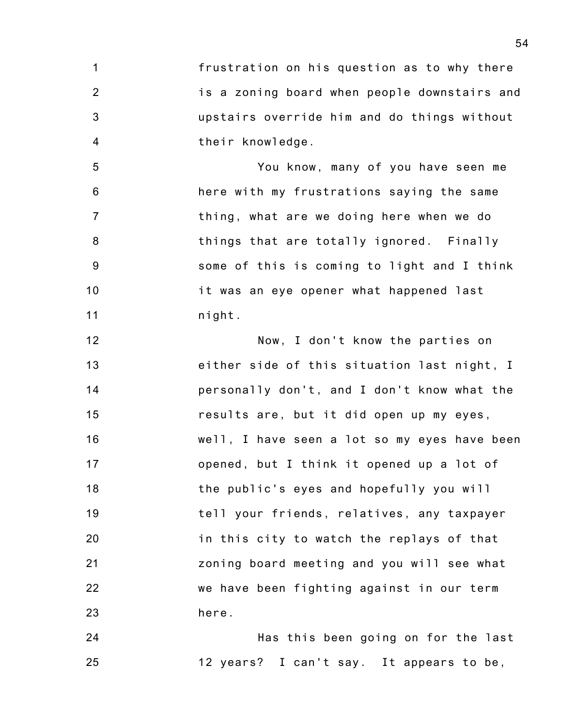1 2 3 4 frustration on his question as to why there is a zoning board when people downstairs and upstairs override him and do things without their knowledge.

5 6 7 8 9 10 11 You know, many of you have seen me here with my frustrations saying the same thing, what are we doing here when we do things that are totally ignored. Finally some of this is coming to light and I think it was an eye opener what happened last night.

12 13 14 15 16 17 18 19 20 21 22 23 Now, I don't know the parties on either side of this situation last night, I personally don't, and I don't know what the results are, but it did open up my eyes, well, I have seen a lot so my eyes have been opened, but I think it opened up a lot of the public's eyes and hopefully you will tell your friends, relatives, any taxpayer in this city to watch the replays of that zoning board meeting and you will see what we have been fighting against in our term here.

24 25 Has this been going on for the last 12 years? I can't say. It appears to be,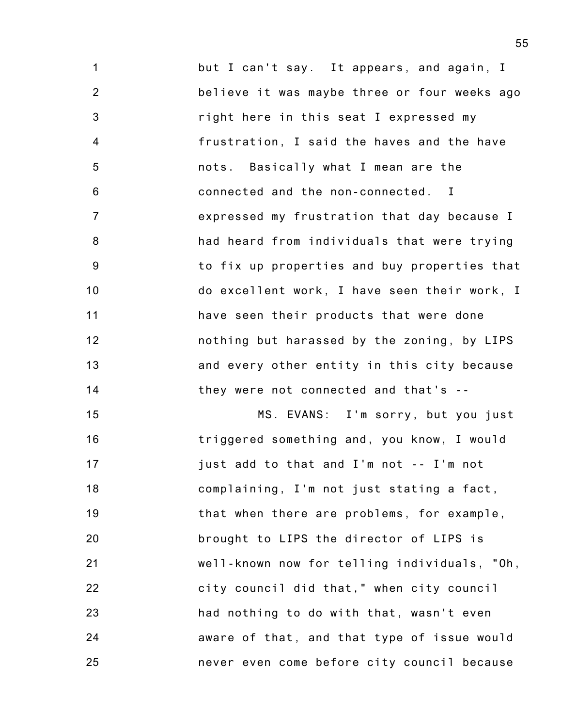1 2 3 4 5 6 7 8 9 10 11 12 13 14 but I can't say. It appears, and again, I believe it was maybe three or four weeks ago right here in this seat I expressed my frustration, I said the haves and the have nots. Basically what I mean are the connected and the non-connected. I expressed my frustration that day because I had heard from individuals that were trying to fix up properties and buy properties that do excellent work, I have seen their work, I have seen their products that were done nothing but harassed by the zoning, by LIPS and every other entity in this city because they were not connected and that's --

15 16 17 18 19 20 21 22 23 24 25 MS. EVANS: I'm sorry, but you just triggered something and, you know, I would just add to that and I'm not -- I'm not complaining, I'm not just stating a fact, that when there are problems, for example, brought to LIPS the director of LIPS is well-known now for telling individuals, "Oh, city council did that," when city council had nothing to do with that, wasn't even aware of that, and that type of issue would never even come before city council because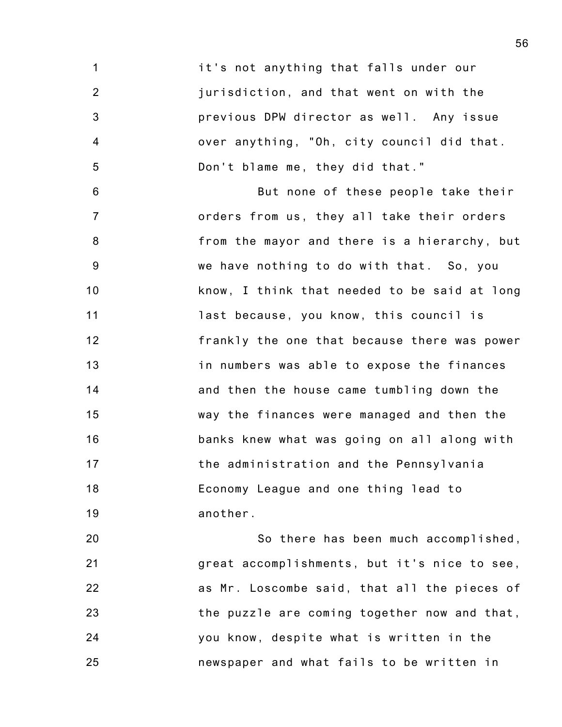1 2 3 4 5 it's not anything that falls under our jurisdiction, and that went on with the previous DPW director as well. Any issue over anything, "Oh, city council did that. Don't blame me, they did that."

6 7 8 9 10 11 12 13 14 15 16 17 18 19 But none of these people take their orders from us, they all take their orders from the mayor and there is a hierarchy, but we have nothing to do with that. So, you know, I think that needed to be said at long last because, you know, this council is frankly the one that because there was power in numbers was able to expose the finances and then the house came tumbling down the way the finances were managed and then the banks knew what was going on all along with the administration and the Pennsylvania Economy League and one thing lead to another.

20 21 22 23 24 25 So there has been much accomplished, great accomplishments, but it's nice to see, as Mr. Loscombe said, that all the pieces of the puzzle are coming together now and that, you know, despite what is written in the newspaper and what fails to be written in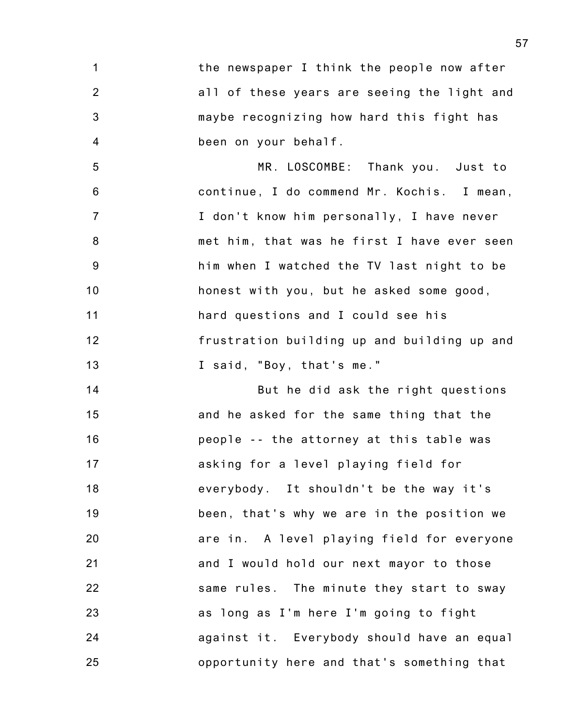1 2 3 4 the newspaper I think the people now after all of these years are seeing the light and maybe recognizing how hard this fight has been on your behalf.

5 6 7 8 9 10 11 12 13 MR. LOSCOMBE: Thank you. Just to continue, I do commend Mr. Kochis. I mean, I don't know him personally, I have never met him, that was he first I have ever seen him when I watched the TV last night to be honest with you, but he asked some good, hard questions and I could see his frustration building up and building up and I said, "Boy, that's me."

14 15 16 17 18 19 20 21 22 23 24 25 But he did ask the right questions and he asked for the same thing that the people -- the attorney at this table was asking for a level playing field for everybody. It shouldn't be the way it's been, that's why we are in the position we are in. A level playing field for everyone and I would hold our next mayor to those same rules. The minute they start to sway as long as I'm here I'm going to fight against it. Everybody should have an equal opportunity here and that's something that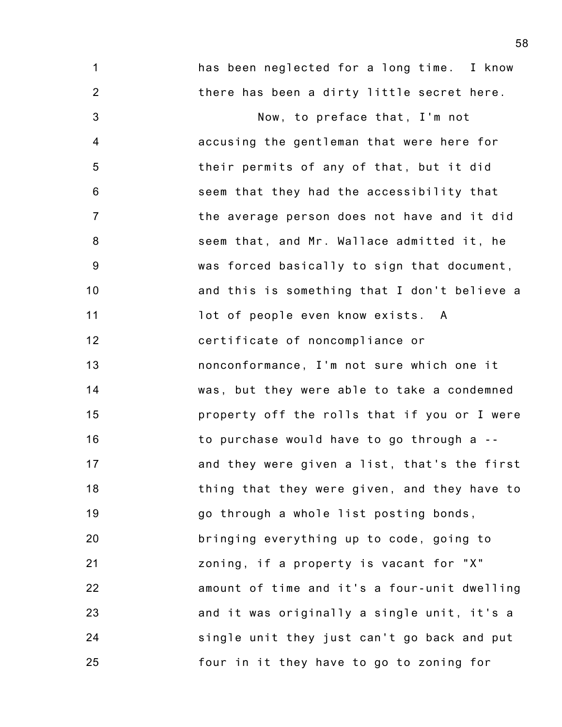1 2 3 4 5 6 7 8 9 10 11 12 13 14 15 16 17 18 19 20 21 22 23 24 25 has been neglected for a long time. I know there has been a dirty little secret here. Now, to preface that, I'm not accusing the gentleman that were here for their permits of any of that, but it did seem that they had the accessibility that the average person does not have and it did seem that, and Mr. Wallace admitted it, he was forced basically to sign that document, and this is something that I don't believe a lot of people even know exists. A certificate of noncompliance or nonconformance, I'm not sure which one it was, but they were able to take a condemned property off the rolls that if you or I were to purchase would have to go through a - and they were given a list, that's the first thing that they were given, and they have to go through a whole list posting bonds, bringing everything up to code, going to zoning, if a property is vacant for "X" amount of time and it's a four-unit dwelling and it was originally a single unit, it's a single unit they just can't go back and put four in it they have to go to zoning for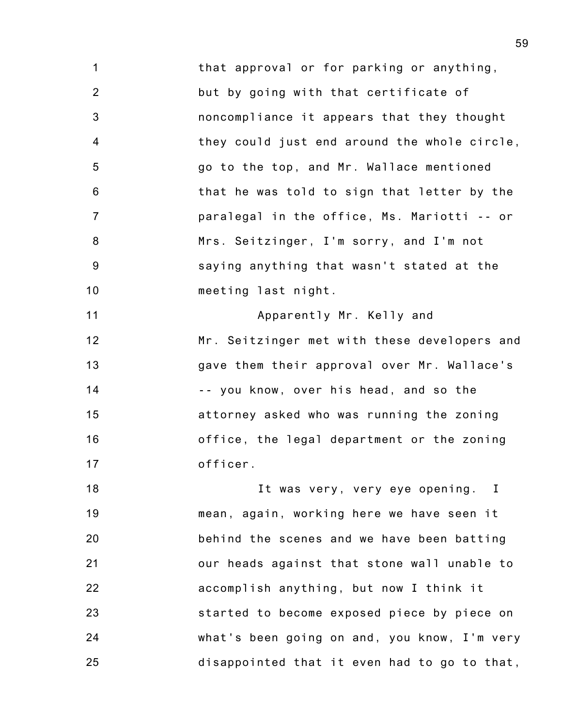1 2 3 4 5 6 7 8 9 10 that approval or for parking or anything, but by going with that certificate of noncompliance it appears that they thought they could just end around the whole circle, go to the top, and Mr. Wallace mentioned that he was told to sign that letter by the paralegal in the office, Ms. Mariotti -- or Mrs. Seitzinger, I'm sorry, and I'm not saying anything that wasn't stated at the meeting last night.

11 12 13 14 15 16 17 Apparently Mr. Kelly and Mr. Seitzinger met with these developers and gave them their approval over Mr. Wallace's -- you know, over his head, and so the attorney asked who was running the zoning office, the legal department or the zoning officer.

18 19 20 21 22 23 24 25 It was very, very eye opening. I mean, again, working here we have seen it behind the scenes and we have been batting our heads against that stone wall unable to accomplish anything, but now I think it started to become exposed piece by piece on what's been going on and, you know, I'm very disappointed that it even had to go to that,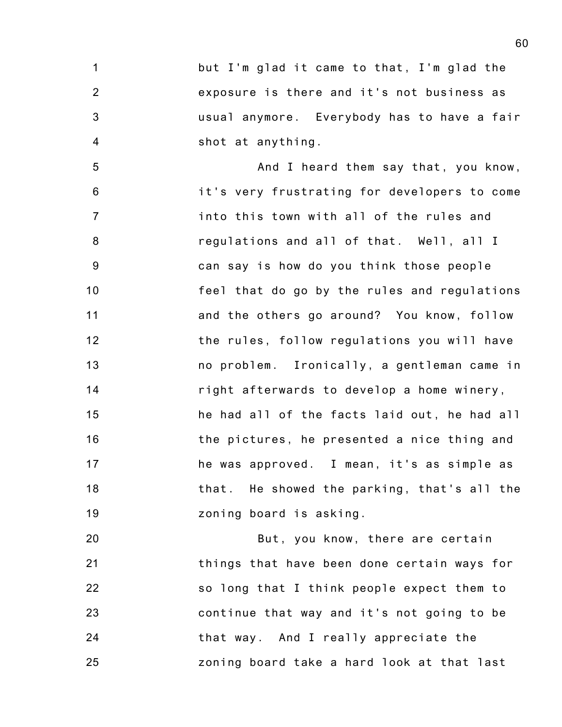1 2 3 4 but I'm glad it came to that, I'm glad the exposure is there and it's not business as usual anymore. Everybody has to have a fair shot at anything.

5 6 7 8 9 10 11 12 13 14 15 16 17 18 19 And I heard them say that, you know, it's very frustrating for developers to come into this town with all of the rules and regulations and all of that. Well, all I can say is how do you think those people feel that do go by the rules and regulations and the others go around? You know, follow the rules, follow regulations you will have no problem. Ironically, a gentleman came in right afterwards to develop a home winery, he had all of the facts laid out, he had all the pictures, he presented a nice thing and he was approved. I mean, it's as simple as that. He showed the parking, that's all the zoning board is asking.

20 21 22 23 24 25 But, you know, there are certain things that have been done certain ways for so long that I think people expect them to continue that way and it's not going to be that way. And I really appreciate the zoning board take a hard look at that last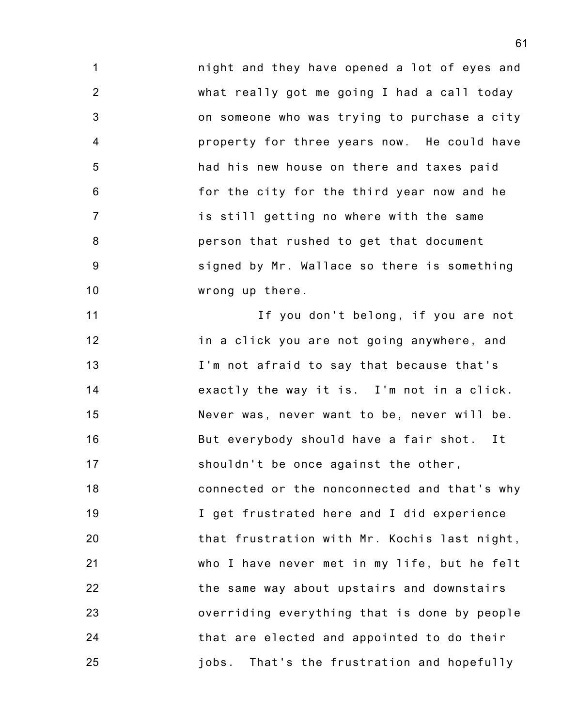1 2 3 4 5 6 7 8 9 10 night and they have opened a lot of eyes and what really got me going I had a call today on someone who was trying to purchase a city property for three years now. He could have had his new house on there and taxes paid for the city for the third year now and he is still getting no where with the same person that rushed to get that document signed by Mr. Wallace so there is something wrong up there.

11 12 13 14 15 16 17 18 19 20 21 22 23 24 25 If you don't belong, if you are not in a click you are not going anywhere, and I'm not afraid to say that because that's exactly the way it is. I'm not in a click. Never was, never want to be, never will be. But everybody should have a fair shot. It shouldn't be once against the other, connected or the nonconnected and that's why I get frustrated here and I did experience that frustration with Mr. Kochis last night, who I have never met in my life, but he felt the same way about upstairs and downstairs overriding everything that is done by people that are elected and appointed to do their jobs. That's the frustration and hopefully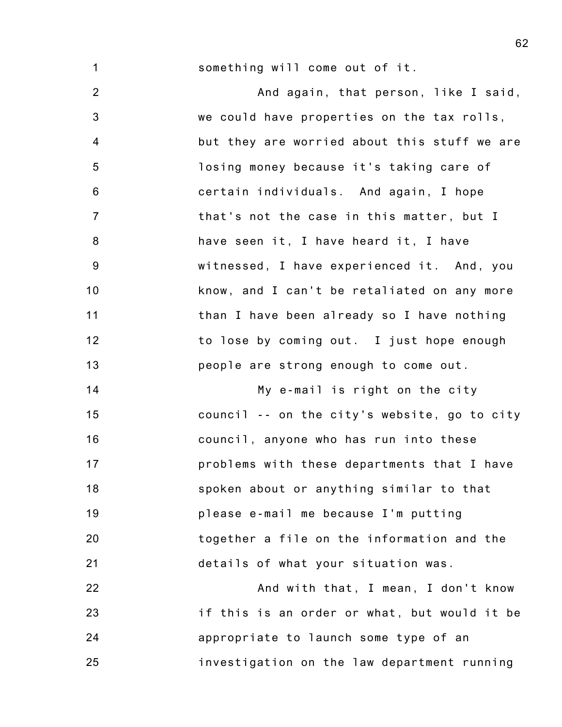1 something will come out of it.

2 3 4 5 6 7 8 9 10 11 12 13 And again, that person, like I said, we could have properties on the tax rolls, but they are worried about this stuff we are losing money because it's taking care of certain individuals. And again, I hope that's not the case in this matter, but I have seen it, I have heard it, I have witnessed, I have experienced it. And, you know, and I can't be retaliated on any more than I have been already so I have nothing to lose by coming out. I just hope enough people are strong enough to come out.

14 15 16 17 18 19 20 21 My e-mail is right on the city council -- on the city's website, go to city council, anyone who has run into these problems with these departments that I have spoken about or anything similar to that please e-mail me because I'm putting together a file on the information and the details of what your situation was.

22 23 24 25 And with that, I mean, I don't know if this is an order or what, but would it be appropriate to launch some type of an investigation on the law department running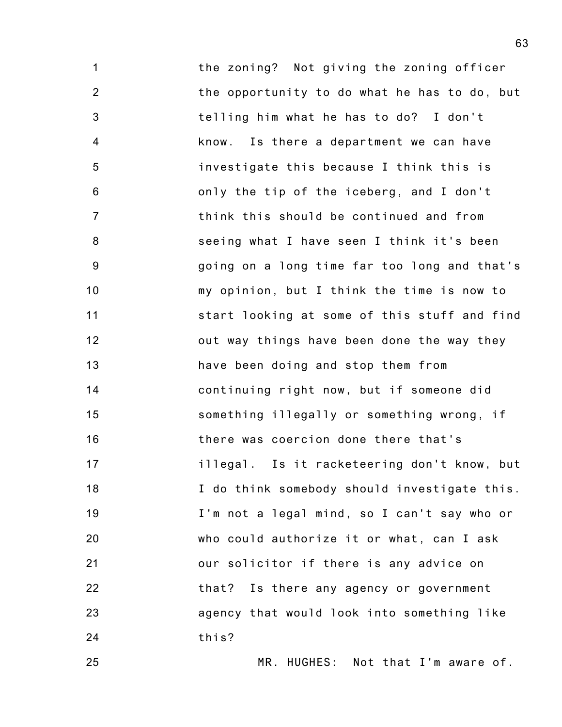1 2 3 4 5 6 7 8 9 10 11 12 13 14 15 16 17 18 19 20 21 22 23 24 the zoning? Not giving the zoning officer the opportunity to do what he has to do, but telling him what he has to do? I don't know. Is there a department we can have investigate this because I think this is only the tip of the iceberg, and I don't think this should be continued and from seeing what I have seen I think it's been going on a long time far too long and that's my opinion, but I think the time is now to start looking at some of this stuff and find out way things have been done the way they have been doing and stop them from continuing right now, but if someone did something illegally or something wrong, if there was coercion done there that's illegal. Is it racketeering don't know, but I do think somebody should investigate this. I'm not a legal mind, so I can't say who or who could authorize it or what, can I ask our solicitor if there is any advice on that? Is there any agency or government agency that would look into something like this?

MR. HUGHES: Not that I'm aware of.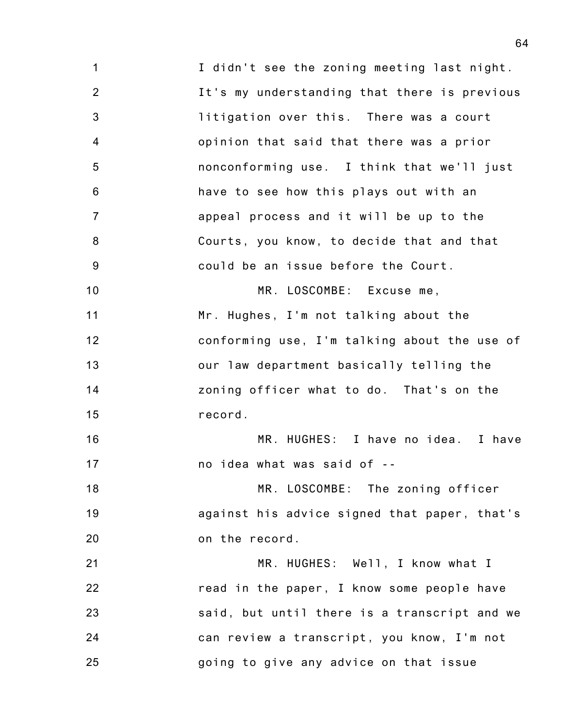1 2 3 4 5 6 7 8 9 10 11 12 13 14 15 16 17 18 19 20 21 22 23 24 25 I didn't see the zoning meeting last night. It's my understanding that there is previous litigation over this. There was a court opinion that said that there was a prior nonconforming use. I think that we'll just have to see how this plays out with an appeal process and it will be up to the Courts, you know, to decide that and that could be an issue before the Court. MR. LOSCOMBE: Excuse me, Mr. Hughes, I'm not talking about the conforming use, I'm talking about the use of our law department basically telling the zoning officer what to do. That's on the record. MR. HUGHES: I have no idea. I have no idea what was said of -- MR. LOSCOMBE: The zoning officer against his advice signed that paper, that's on the record. MR. HUGHES: Well, I know what I read in the paper, I know some people have said, but until there is a transcript and we can review a transcript, you know, I'm not going to give any advice on that issue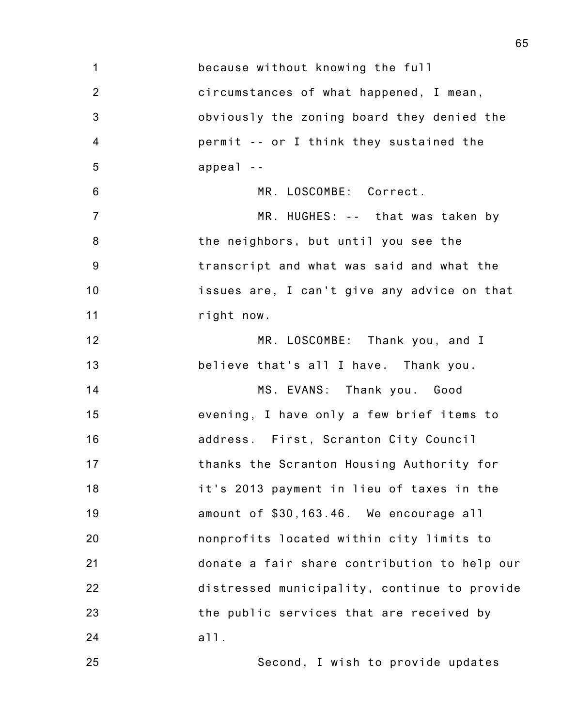| $\mathbf 1$    | because without knowing the full             |
|----------------|----------------------------------------------|
| $\overline{2}$ | circumstances of what happened, I mean,      |
| $\mathbf{3}$   | obviously the zoning board they denied the   |
| 4              | permit -- or I think they sustained the      |
| 5              | $appea1 -$                                   |
| 6              | MR. LOSCOMBE: Correct.                       |
| $\overline{7}$ | MR. HUGHES: -- that was taken by             |
| 8              | the neighbors, but until you see the         |
| 9              | transcript and what was said and what the    |
| 10             | issues are, I can't give any advice on that  |
| 11             | right now.                                   |
| 12             | MR. LOSCOMBE: Thank you, and I               |
| 13             | believe that's all I have. Thank you.        |
| 14             | MS. EVANS: Thank you. Good                   |
| 15             | evening, I have only a few brief items to    |
| 16             | address. First, Scranton City Council        |
| 17             | thanks the Scranton Housing Authority for    |
| 18             | it's 2013 payment in lieu of taxes in the    |
| 19             | amount of \$30,163.46. We encourage all      |
| 20             | nonprofits located within city limits to     |
| 21             | donate a fair share contribution to help our |
| 22             | distressed municipality, continue to provide |
| 23             | the public services that are received by     |
| 24             | a11.                                         |
| 25             | Second, I wish to provide updates            |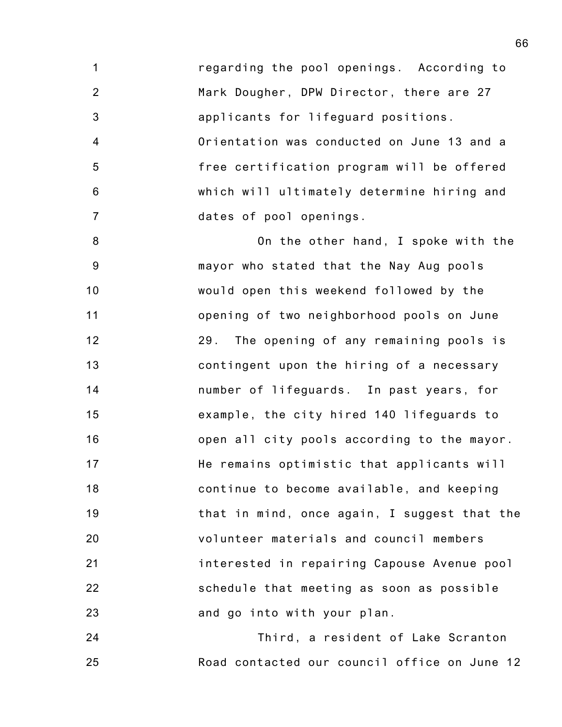1 2 3 4 5 6 7 regarding the pool openings. According to Mark Dougher, DPW Director, there are 27 applicants for lifeguard positions. Orientation was conducted on June 13 and a free certification program will be offered which will ultimately determine hiring and dates of pool openings.

8 9 10 11 12 13 14 15 16 17 18 19 20 21 22 23 On the other hand, I spoke with the mayor who stated that the Nay Aug pools would open this weekend followed by the opening of two neighborhood pools on June 29. The opening of any remaining pools is contingent upon the hiring of a necessary number of lifeguards. In past years, for example, the city hired 140 lifeguards to open all city pools according to the mayor. He remains optimistic that applicants will continue to become available, and keeping that in mind, once again, I suggest that the volunteer materials and council members interested in repairing Capouse Avenue pool schedule that meeting as soon as possible and go into with your plan.

24 25 Third, a resident of Lake Scranton Road contacted our council office on June 12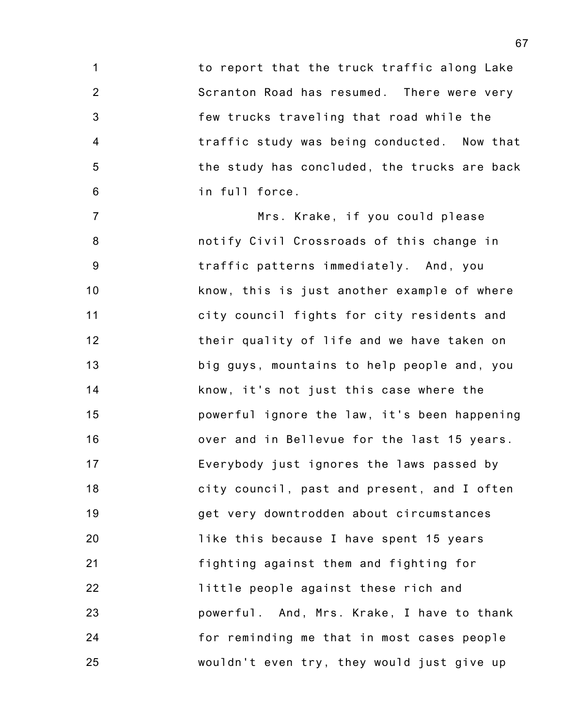1 2 3 4 5 6 to report that the truck traffic along Lake Scranton Road has resumed. There were very few trucks traveling that road while the traffic study was being conducted. Now that the study has concluded, the trucks are back in full force.

7 8 9 10 11 12 13 14 15 16 17 18 19 20 21 22 23 24 25 Mrs. Krake, if you could please notify Civil Crossroads of this change in traffic patterns immediately. And, you know, this is just another example of where city council fights for city residents and their quality of life and we have taken on big guys, mountains to help people and, you know, it's not just this case where the powerful ignore the law, it's been happening over and in Bellevue for the last 15 years. Everybody just ignores the laws passed by city council, past and present, and I often get very downtrodden about circumstances like this because I have spent 15 years fighting against them and fighting for little people against these rich and powerful. And, Mrs. Krake, I have to thank for reminding me that in most cases people wouldn't even try, they would just give up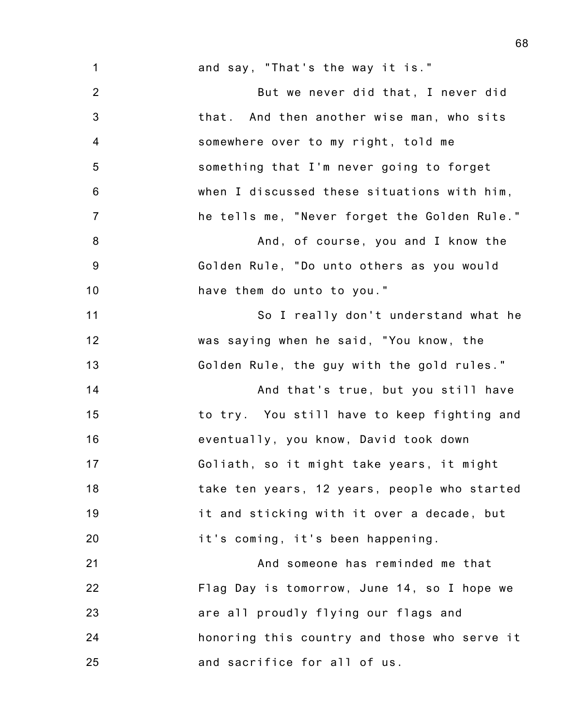1 2 3 4 5 6 7 8 9 10 11 12 13 14 15 16 17 18 19 20 21 22 23 and say, "That's the way it is." But we never did that, I never did that. And then another wise man, who sits somewhere over to my right, told me something that I'm never going to forget when I discussed these situations with him, he tells me, "Never forget the Golden Rule." And, of course, you and I know the Golden Rule, "Do unto others as you would have them do unto to you." So I really don't understand what he was saying when he said, "You know, the Golden Rule, the guy with the gold rules." And that's true, but you still have to try. You still have to keep fighting and eventually, you know, David took down Goliath, so it might take years, it might take ten years, 12 years, people who started it and sticking with it over a decade, but it's coming, it's been happening. And someone has reminded me that Flag Day is tomorrow, June 14, so I hope we are all proudly flying our flags and

honoring this country and those who serve it and sacrifice for all of us.

24

25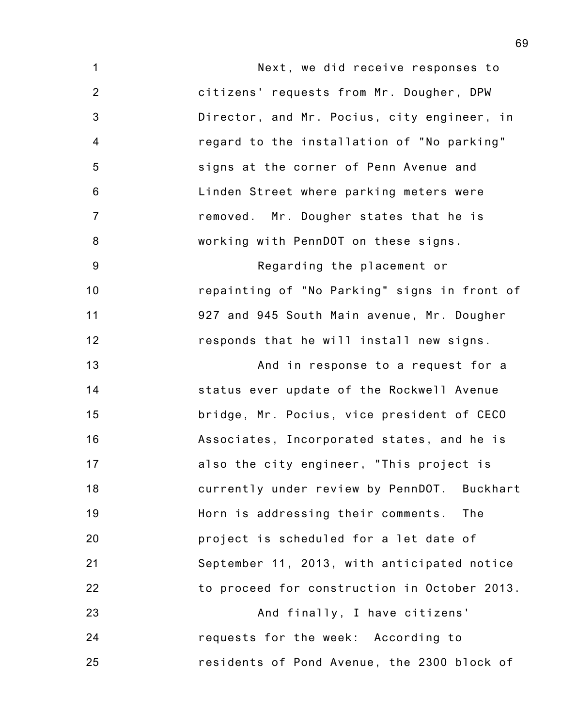1 2 3 4 5 6 7 8 9 10 11 12 13 14 15 16 17 18 19 20 21 22 23 24 25 Next, we did receive responses to citizens' requests from Mr. Dougher, DPW Director, and Mr. Pocius, city engineer, in regard to the installation of "No parking" signs at the corner of Penn Avenue and Linden Street where parking meters were removed. Mr. Dougher states that he is working with PennDOT on these signs. Regarding the placement or repainting of "No Parking" signs in front of 927 and 945 South Main avenue, Mr. Dougher responds that he will install new signs. And in response to a request for a status ever update of the Rockwell Avenue bridge, Mr. Pocius, vice president of CECO Associates, Incorporated states, and he is also the city engineer, "This project is currently under review by PennDOT. Buckhart Horn is addressing their comments. The project is scheduled for a let date of September 11, 2013, with anticipated notice to proceed for construction in October 2013. And finally, I have citizens' requests for the week: According to residents of Pond Avenue, the 2300 block of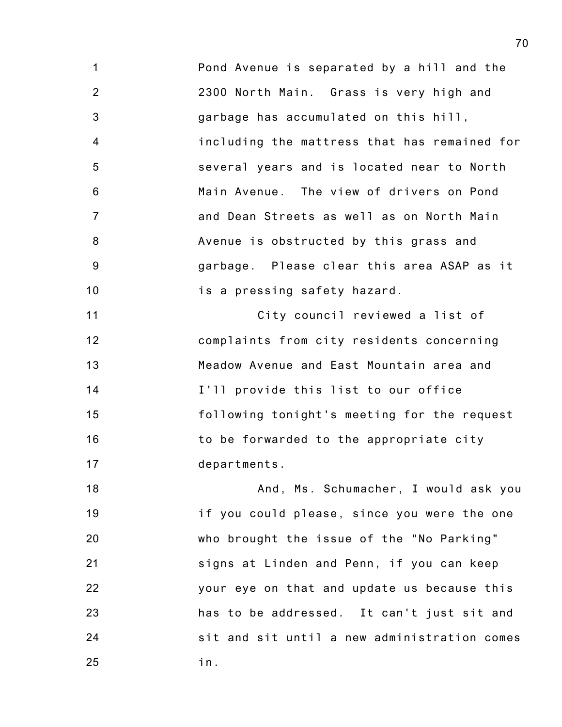1 2 3 4 5 6 7 8 9 10 Pond Avenue is separated by a hill and the 2300 North Main. Grass is very high and garbage has accumulated on this hill, including the mattress that has remained for several years and is located near to North Main Avenue. The view of drivers on Pond and Dean Streets as well as on North Main Avenue is obstructed by this grass and garbage. Please clear this area ASAP as it is a pressing safety hazard.

11 12 13 14 15 16 17 City council reviewed a list of complaints from city residents concerning Meadow Avenue and East Mountain area and I'll provide this list to our office following tonight's meeting for the request to be forwarded to the appropriate city departments.

18 19 20 21 22 23 24 25 And, Ms. Schumacher, I would ask you if you could please, since you were the one who brought the issue of the "No Parking" signs at Linden and Penn, if you can keep your eye on that and update us because this has to be addressed. It can't just sit and sit and sit until a new administration comes in.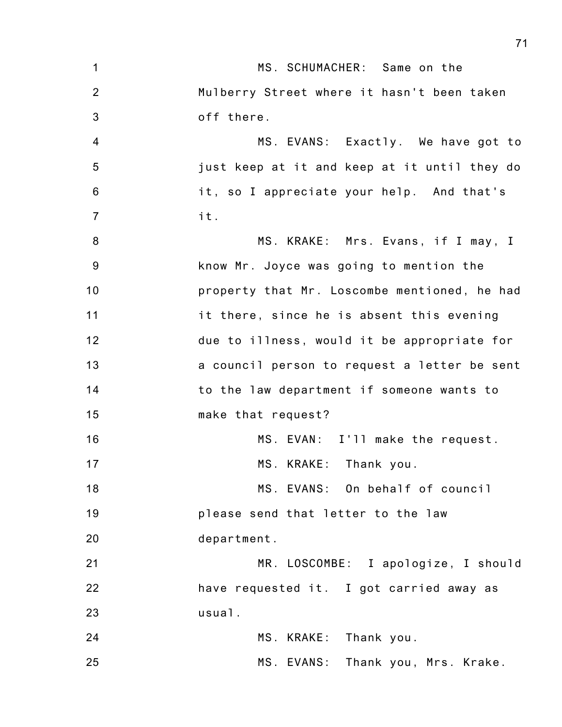| $\mathbf{1}$     | MS. SCHUMACHER: Same on the                  |
|------------------|----------------------------------------------|
| 2                | Mulberry Street where it hasn't been taken   |
| 3                | off there.                                   |
| $\overline{4}$   | MS. EVANS: Exactly. We have got to           |
| 5                | just keep at it and keep at it until they do |
| $6\phantom{1}$   | it, so I appreciate your help. And that's    |
| $\overline{7}$   | it.                                          |
| $\boldsymbol{8}$ | MS. KRAKE: Mrs. Evans, if I may, I           |
| 9                | know Mr. Joyce was going to mention the      |
| 10               | property that Mr. Loscombe mentioned, he had |
| 11               | it there, since he is absent this evening    |
| 12               | due to illness, would it be appropriate for  |
| 13               | a council person to request a letter be sent |
| 14               | to the law department if someone wants to    |
| 15               | make that request?                           |
| 16               | MS. EVAN: I'll make the request.             |
| 17               | MS. KRAKE: Thank you.                        |
| 18               | MS. EVANS: On behalf of council              |
| 19               | please send that letter to the law           |
| 20               | department.                                  |
| 21               | MR. LOSCOMBE: I apologize, I should          |
| 22               | have requested it. I got carried away as     |
| 23               | usual.                                       |
| 24               | MS. KRAKE: Thank you.                        |
| 25               | MS. EVANS: Thank you, Mrs. Krake.            |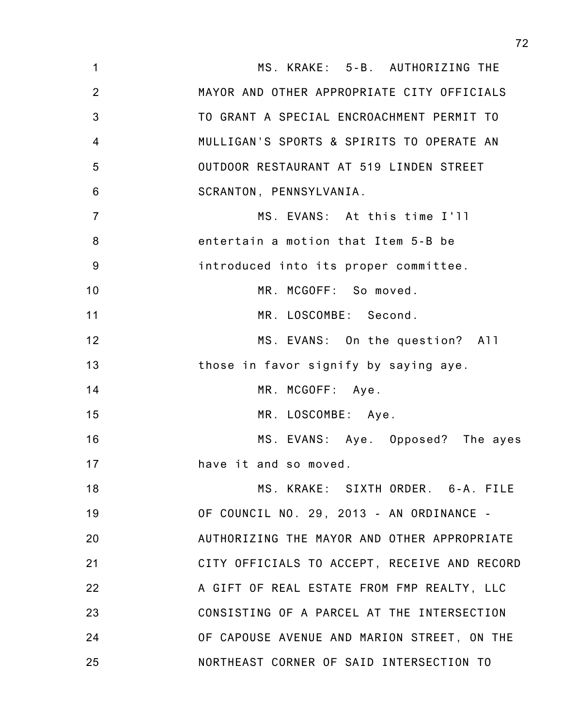| $\mathbf 1$    | MS. KRAKE: 5-B. AUTHORIZING THE              |
|----------------|----------------------------------------------|
| $\overline{2}$ | MAYOR AND OTHER APPROPRIATE CITY OFFICIALS   |
| 3              | TO GRANT A SPECIAL ENCROACHMENT PERMIT TO    |
| $\overline{4}$ | MULLIGAN'S SPORTS & SPIRITS TO OPERATE AN    |
| 5              | OUTDOOR RESTAURANT AT 519 LINDEN STREET      |
| 6              | SCRANTON, PENNSYLVANIA.                      |
| $\overline{7}$ | MS. EVANS: At this time I'll                 |
| 8              | entertain a motion that Item 5-B be          |
| 9              | introduced into its proper committee.        |
| 10             | MR. MCGOFF: So moved.                        |
| 11             | MR. LOSCOMBE: Second.                        |
| 12             | MS. EVANS: On the question? All              |
| 13             | those in favor signify by saying aye.        |
| 14             | MR. MCGOFF: Aye.                             |
| 15             | MR. LOSCOMBE: Aye.                           |
| 16             | MS. EVANS: Aye. Opposed? The ayes            |
| 17             | have it and so moved.                        |
| 18             | MS. KRAKE: SIXTH ORDER. 6-A. FILE            |
| 19             | OF COUNCIL NO. 29, 2013 - AN ORDINANCE -     |
| 20             | AUTHORIZING THE MAYOR AND OTHER APPROPRIATE  |
| 21             | CITY OFFICIALS TO ACCEPT, RECEIVE AND RECORD |
| 22             | A GIFT OF REAL ESTATE FROM FMP REALTY, LLC   |
| 23             | CONSISTING OF A PARCEL AT THE INTERSECTION   |
| 24             | OF CAPOUSE AVENUE AND MARION STREET, ON THE  |
| 25             | NORTHEAST CORNER OF SAID INTERSECTION TO     |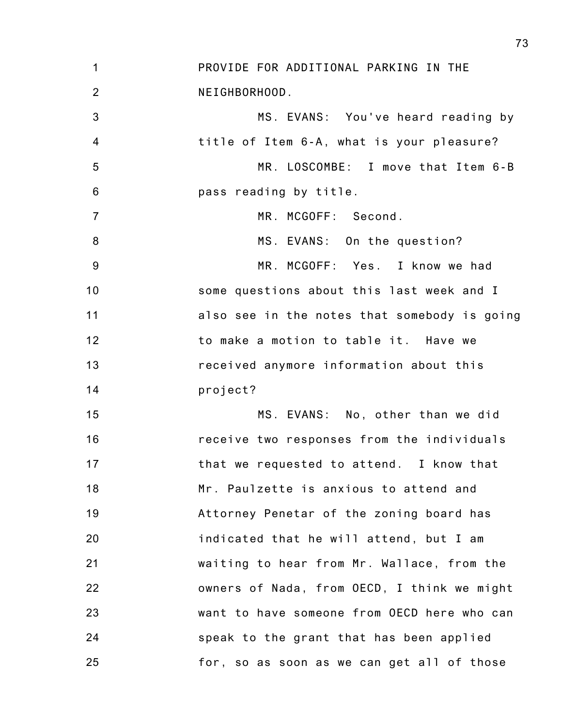1 2 3 4 5 6 7 8 9 10 11 12 13 14 15 16 17 18 19 20 21 22 23 24 25 PROVIDE FOR ADDITIONAL PARKING IN THE NEIGHBORHOOD. MS. EVANS: You've heard reading by title of Item 6-A, what is your pleasure? MR. LOSCOMBE: I move that Item 6-B pass reading by title. MR. MCGOFF: Second. MS. EVANS: On the question? MR. MCGOFF: Yes. I know we had some questions about this last week and I also see in the notes that somebody is going to make a motion to table it. Have we received anymore information about this project? MS. EVANS: No, other than we did receive two responses from the individuals that we requested to attend. I know that Mr. Paulzette is anxious to attend and Attorney Penetar of the zoning board has indicated that he will attend, but I am waiting to hear from Mr. Wallace, from the owners of Nada, from OECD, I think we might want to have someone from OECD here who can speak to the grant that has been applied for, so as soon as we can get all of those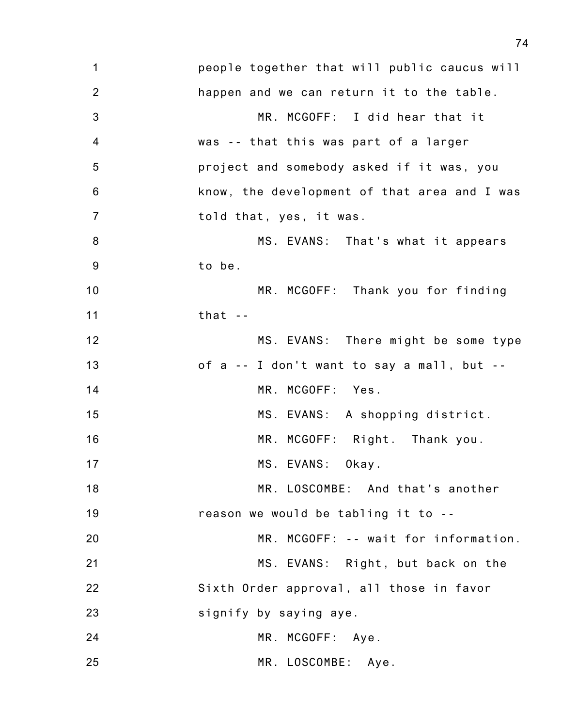| 1                | people together that will public caucus will |
|------------------|----------------------------------------------|
| $\overline{2}$   | happen and we can return it to the table.    |
| $\mathbf{3}$     | MR. MCGOFF: I did hear that it               |
| 4                | was -- that this was part of a larger        |
| 5                | project and somebody asked if it was, you    |
| $\,6$            | know, the development of that area and I was |
| $\overline{7}$   | told that, yes, it was.                      |
| 8                | MS. EVANS: That's what it appears            |
| $\boldsymbol{9}$ | to be.                                       |
| 10               | MR. MCGOFF: Thank you for finding            |
| 11               | that $-$                                     |
| 12               | MS. EVANS: There might be some type          |
| 13               | of a -- I don't want to say a mall, but --   |
| 14               | MR. MCGOFF: Yes.                             |
| 15               | MS. EVANS: A shopping district.              |
| 16               | MR. MCGOFF: Right. Thank you.                |
| 17               | MS. EVANS:<br>Okay.                          |
| 18               | MR. LOSCOMBE: And that's another             |
| 19               | reason we would be tabling it to --          |
| 20               | MR. MCGOFF: -- wait for information.         |
| 21               | MS. EVANS: Right, but back on the            |
| 22               | Sixth Order approval, all those in favor     |
| 23               | signify by saying aye.                       |
| 24               | MR. MCGOFF: Aye.                             |
| 25               | MR. LOSCOMBE: Aye.                           |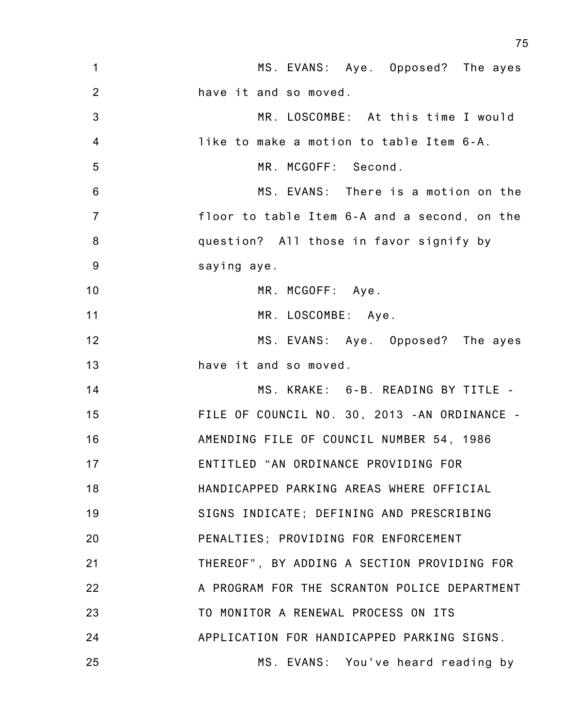| $\mathbf{1}$    | MS. EVANS: Aye. Opposed? The ayes            |
|-----------------|----------------------------------------------|
| 2               | have it and so moved.                        |
| $\mathbf{3}$    | MR. LOSCOMBE: At this time I would           |
| $\overline{4}$  | like to make a motion to table Item 6-A.     |
| 5               | MR. MCGOFF: Second.                          |
| $6\phantom{1}6$ | MS. EVANS: There is a motion on the          |
| $\overline{7}$  | floor to table Item 6-A and a second, on the |
| 8               | question? All those in favor signify by      |
| 9               | saying aye.                                  |
| 10              | MR. MCGOFF: Aye.                             |
| 11              | MR. LOSCOMBE: Aye.                           |
| 12              | MS. EVANS: Aye. Opposed? The ayes            |
| 13              | have it and so moved.                        |
| 14              | MS. KRAKE: 6-B. READING BY TITLE -           |
| 15              | FILE OF COUNCIL NO. 30, 2013 -AN ORDINANCE - |
| 16              | AMENDING FILE OF COUNCIL NUMBER 54, 1986     |
| 17              | ENTITLED "AN ORDINANCE PROVIDING FOR         |
| 18              | HANDICAPPED PARKING AREAS WHERE OFFICIAL     |
| 19              | SIGNS INDICATE; DEFINING AND PRESCRIBING     |
| 20              | PENALTIES: PROVIDING FOR ENFORCEMENT         |
| 21              | THEREOF", BY ADDING A SECTION PROVIDING FOR  |
| 22              | A PROGRAM FOR THE SCRANTON POLICE DEPARTMENT |
| 23              | TO MONITOR A RENEWAL PROCESS ON ITS          |
| 24              | APPLICATION FOR HANDICAPPED PARKING SIGNS.   |
| 25              | MS. EVANS: You've heard reading by           |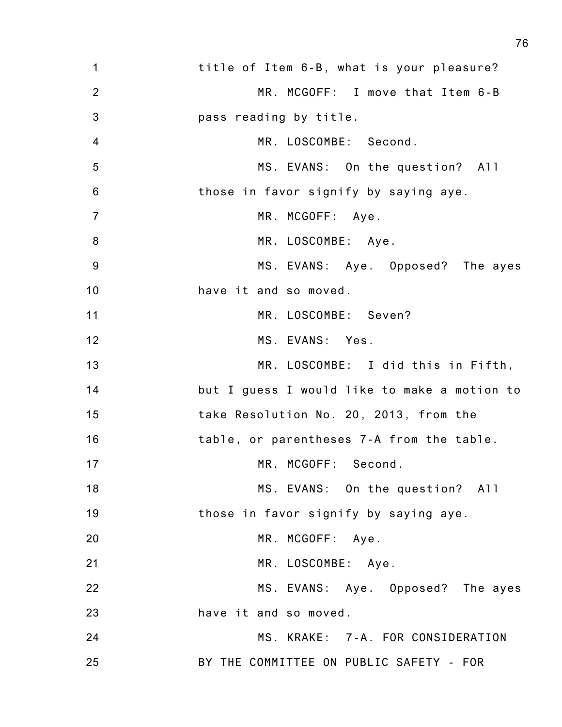| $\mathbf 1$     | title of Item 6-B, what is your pleasure?    |
|-----------------|----------------------------------------------|
| 2               | MR. MCGOFF: I move that Item 6-B             |
| 3               | pass reading by title.                       |
| $\overline{4}$  | MR. LOSCOMBE: Second.                        |
| 5               | MS. EVANS: On the question? All              |
| $6\phantom{1}6$ | those in favor signify by saying aye.        |
| $\overline{7}$  | MR. MCGOFF: Aye.                             |
| 8               | MR. LOSCOMBE: Aye.                           |
| 9               | MS. EVANS: Aye. Opposed? The ayes            |
| 10              | have it and so moved.                        |
| 11              | MR. LOSCOMBE: Seven?                         |
| 12              | MS. EVANS: Yes.                              |
| 13              | MR. LOSCOMBE: I did this in Fifth,           |
| 14              | but I guess I would like to make a motion to |
| 15              | take Resolution No. 20, 2013, from the       |
| 16              | table, or parentheses 7-A from the table.    |
| 17              | MR. MCGOFF: Second.                          |
| 18              | MS. EVANS: On the question? All              |
| 19              | those in favor signify by saying aye.        |
| 20              | MR. MCGOFF: Aye.                             |
| 21              | MR. LOSCOMBE: Aye.                           |
| 22              | MS. EVANS: Aye. Opposed? The ayes            |
| 23              | have it and so moved.                        |
| 24              | MS. KRAKE: 7-A. FOR CONSIDERATION            |
| 25              | BY THE COMMITTEE ON PUBLIC SAFETY - FOR      |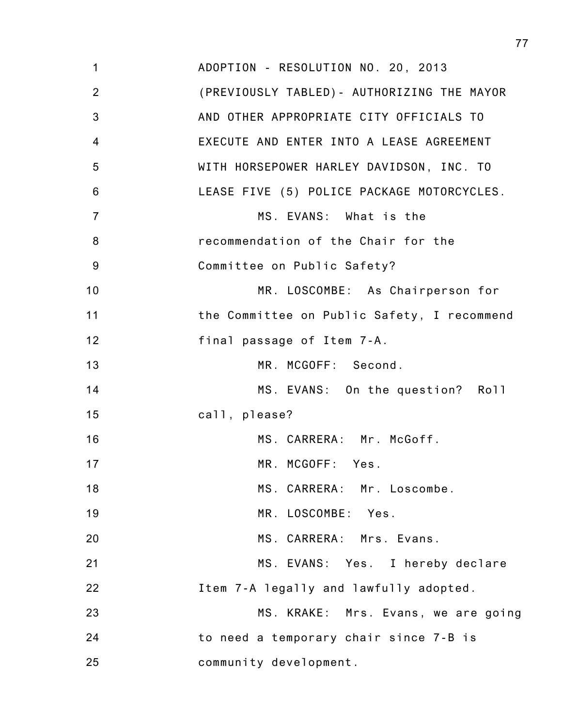1 2 3 4 5 6 7 8 9 10 11 12 13 14 15 16 17 18 19 20 21 22 23 24 25 ADOPTION - RESOLUTION NO. 20, 2013 (PREVIOUSLY TABLED)- AUTHORIZING THE MAYOR AND OTHER APPROPRIATE CITY OFFICIALS TO EXECUTE AND ENTER INTO A LEASE AGREEMENT WITH HORSEPOWER HARLEY DAVIDSON, INC. TO LEASE FIVE (5) POLICE PACKAGE MOTORCYCLES. MS. EVANS: What is the recommendation of the Chair for the Committee on Public Safety? MR. LOSCOMBE: As Chairperson for the Committee on Public Safety, I recommend final passage of Item 7-A. MR. MCGOFF: Second. MS. EVANS: On the question? Roll call, please? MS. CARRERA: Mr. McGoff. MR. MCGOFF: Yes. MS. CARRERA: Mr. Loscombe. MR. LOSCOMBE: Yes. MS. CARRERA: Mrs. Evans. MS. EVANS: Yes. I hereby declare Item 7-A legally and lawfully adopted. MS. KRAKE: Mrs. Evans, we are going to need a temporary chair since 7-B is community development.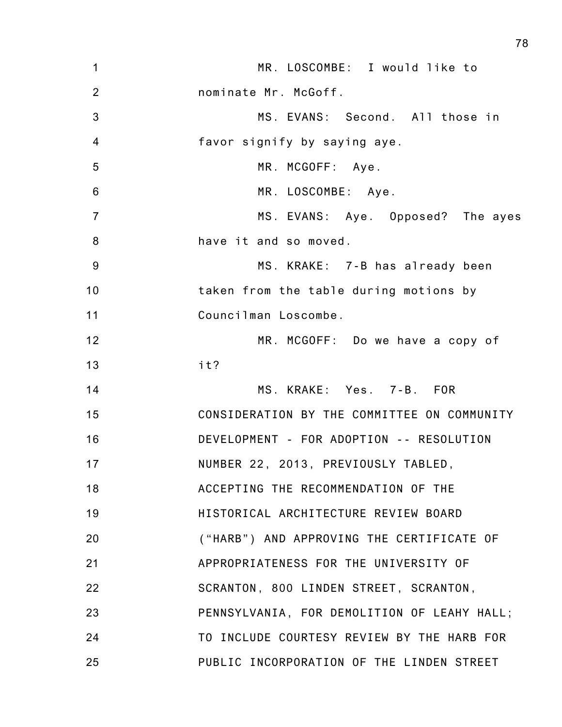| $\mathbf 1$     | MR. LOSCOMBE: I would like to               |
|-----------------|---------------------------------------------|
| $\overline{2}$  | nominate Mr. McGoff.                        |
| 3               | MS. EVANS: Second. All those in             |
| $\overline{4}$  | favor signify by saying aye.                |
| 5               | MR. MCGOFF: Aye.                            |
| $6\phantom{1}6$ | MR. LOSCOMBE: Aye.                          |
| $\overline{7}$  | MS. EVANS: Aye. Opposed? The ayes           |
| 8               | have it and so moved.                       |
| 9               | MS. KRAKE: 7-B has already been             |
| 10              | taken from the table during motions by      |
| 11              | Councilman Loscombe.                        |
| 12              | MR. MCGOFF: Do we have a copy of            |
| 13              | it?                                         |
| 14              | MS. KRAKE: Yes. 7-B. FOR                    |
| 15              | CONSIDERATION BY THE COMMITTEE ON COMMUNITY |
| 16              | DEVELOPMENT - FOR ADOPTION -- RESOLUTION    |
| 17              | NUMBER 22, 2013, PREVIOUSLY TABLED,         |
| 18              | ACCEPTING THE RECOMMENDATION OF THE         |
| 19              | HISTORICAL ARCHITECTURE REVIEW BOARD        |
| 20              | ("HARB") AND APPROVING THE CERTIFICATE OF   |
| 21              | APPROPRIATENESS FOR THE UNIVERSITY OF       |
| 22              | SCRANTON, 800 LINDEN STREET, SCRANTON,      |
| 23              | PENNSYLVANIA, FOR DEMOLITION OF LEAHY HALL; |
| 24              | TO INCLUDE COURTESY REVIEW BY THE HARB FOR  |
| 25              | PUBLIC INCORPORATION OF THE LINDEN STREET   |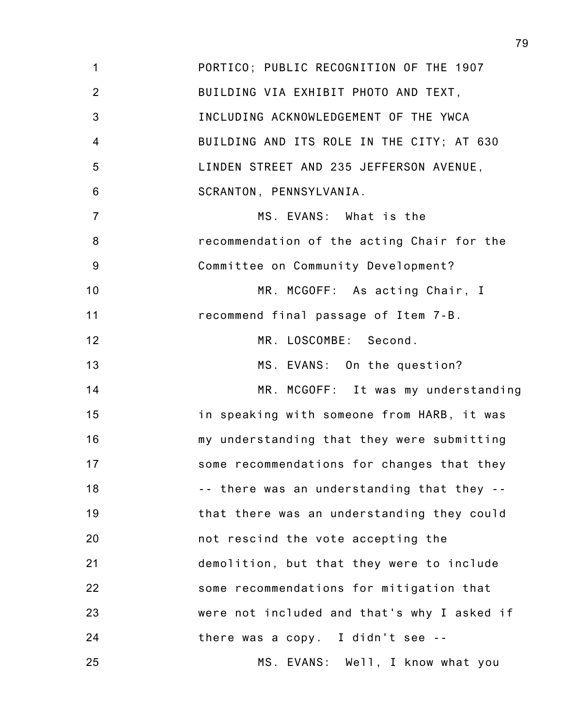1 2 3 4 5 6 7 8 9 10 11 12 13 14 15 16 17 18 19 20 21 22 23 24 25 PORTICO; PUBLIC RECOGNITION OF THE 1907 BUILDING VIA EXHIBIT PHOTO AND TEXT, INCLUDING ACKNOWLEDGEMENT OF THE YWCA BUILDING AND ITS ROLE IN THE CITY; AT 630 LINDEN STREET AND 235 JEFFERSON AVENUE, SCRANTON, PENNSYLVANIA. MS. EVANS: What is the recommendation of the acting Chair for the Committee on Community Development? MR. MCGOFF: As acting Chair, I recommend final passage of Item 7-B. MR. LOSCOMBE: Second. MS. EVANS: On the question? MR. MCGOFF: It was my understanding in speaking with someone from HARB, it was my understanding that they were submitting some recommendations for changes that they -- there was an understanding that they - that there was an understanding they could not rescind the vote accepting the demolition, but that they were to include some recommendations for mitigation that were not included and that's why I asked if there was a copy. I didn't see -- MS. EVANS: Well, I know what you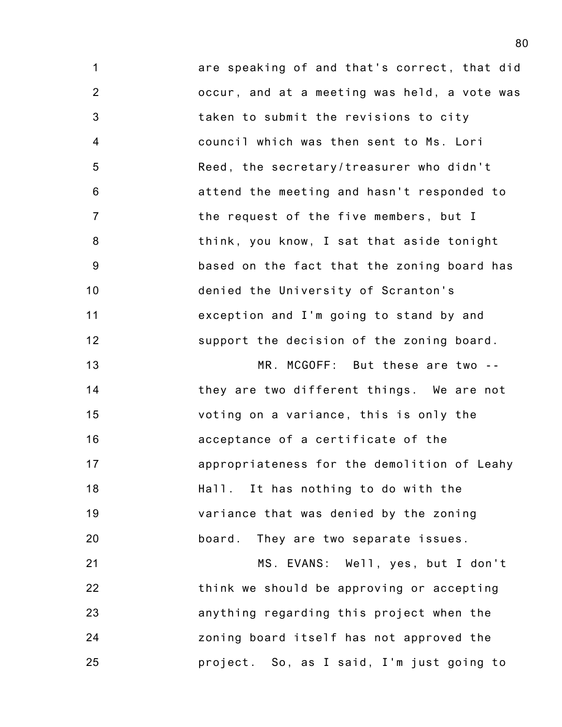1 2 3 4 5 6 7 8 9 10 11 12 are speaking of and that's correct, that did occur, and at a meeting was held, a vote was taken to submit the revisions to city council which was then sent to Ms. Lori Reed, the secretary/treasurer who didn't attend the meeting and hasn't responded to the request of the five members, but I think, you know, I sat that aside tonight based on the fact that the zoning board has denied the University of Scranton's exception and I'm going to stand by and support the decision of the zoning board.

13 14 15 16 17 18 19 20 MR. MCGOFF: But these are two - they are two different things. We are not voting on a variance, this is only the acceptance of a certificate of the appropriateness for the demolition of Leahy Hall. It has nothing to do with the variance that was denied by the zoning board. They are two separate issues.

21 22 23 24 25 MS. EVANS: Well, yes, but I don't think we should be approving or accepting anything regarding this project when the zoning board itself has not approved the project. So, as I said, I'm just going to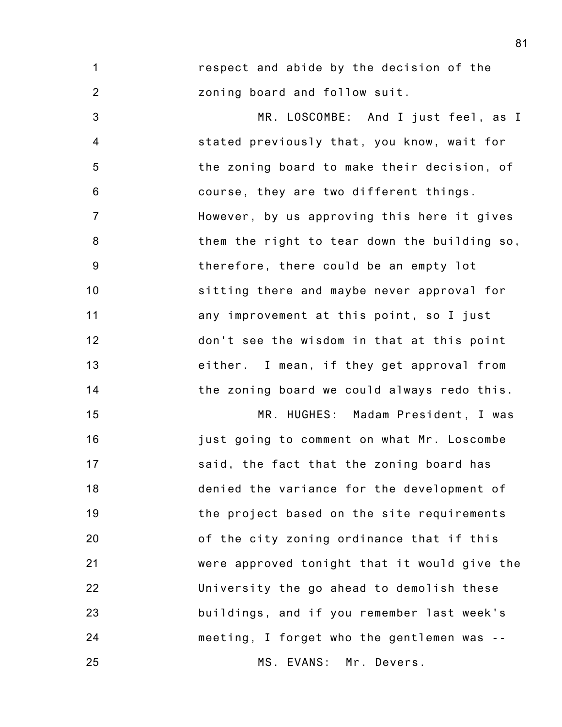1 2 respect and abide by the decision of the zoning board and follow suit.

3 4 5 6 7 8 9 10 11 12 13 14 MR. LOSCOMBE: And I just feel, as I stated previously that, you know, wait for the zoning board to make their decision, of course, they are two different things. However, by us approving this here it gives them the right to tear down the building so, therefore, there could be an empty lot sitting there and maybe never approval for any improvement at this point, so I just don't see the wisdom in that at this point either. I mean, if they get approval from the zoning board we could always redo this.

15 16 17 18 19 20 21 22 23 24 25 MR. HUGHES: Madam President, I was just going to comment on what Mr. Loscombe said, the fact that the zoning board has denied the variance for the development of the project based on the site requirements of the city zoning ordinance that if this were approved tonight that it would give the University the go ahead to demolish these buildings, and if you remember last week's meeting, I forget who the gentlemen was -- MS. EVANS: Mr. Devers.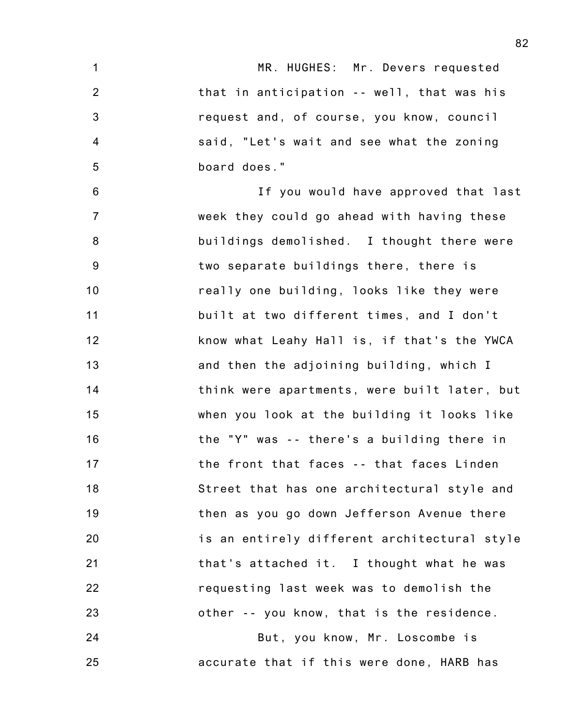1 2 3 4 5 6 7 8 9 10 11 12 13 14 15 16 17 18 19 20 21 22 23 24 MR. HUGHES: Mr. Devers requested that in anticipation -- well, that was his request and, of course, you know, council said, "Let's wait and see what the zoning board does." If you would have approved that last week they could go ahead with having these buildings demolished. I thought there were two separate buildings there, there is really one building, looks like they were built at two different times, and I don't know what Leahy Hall is, if that's the YWCA and then the adjoining building, which I think were apartments, were built later, but when you look at the building it looks like the "Y" was -- there's a building there in the front that faces -- that faces Linden Street that has one architectural style and then as you go down Jefferson Avenue there is an entirely different architectural style that's attached it. I thought what he was requesting last week was to demolish the other -- you know, that is the residence. But, you know, Mr. Loscombe is

accurate that if this were done, HARB has

25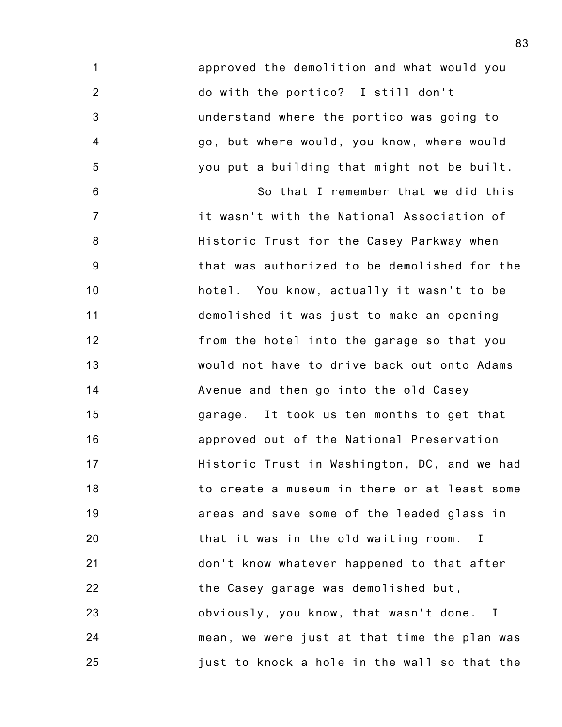1 2 3 4 5 6 7 8 9 10 11 12 13 14 15 16 17 18 19 20 21 22 23 24 approved the demolition and what would you do with the portico? I still don't understand where the portico was going to go, but where would, you know, where would you put a building that might not be built. So that I remember that we did this it wasn't with the National Association of Historic Trust for the Casey Parkway when that was authorized to be demolished for the hotel. You know, actually it wasn't to be demolished it was just to make an opening from the hotel into the garage so that you would not have to drive back out onto Adams Avenue and then go into the old Casey garage. It took us ten months to get that approved out of the National Preservation Historic Trust in Washington, DC, and we had to create a museum in there or at least some areas and save some of the leaded glass in that it was in the old waiting room. I don't know whatever happened to that after the Casey garage was demolished but, obviously, you know, that wasn't done. I mean, we were just at that time the plan was

25 just to knock a hole in the wall so that the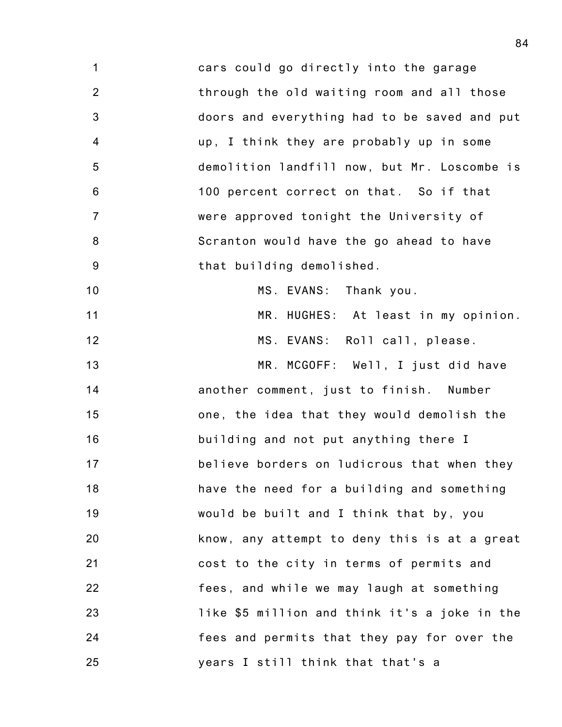1 2 3 4 5 6 7 8 9 10 11 12 13 14 15 16 17 18 19 20 21 22 23 24 25 cars could go directly into the garage through the old waiting room and all those doors and everything had to be saved and put up, I think they are probably up in some demolition landfill now, but Mr. Loscombe is 100 percent correct on that. So if that were approved tonight the University of Scranton would have the go ahead to have that building demolished. MS. EVANS: Thank you. MR. HUGHES: At least in my opinion. MS. EVANS: Roll call, please. MR. MCGOFF: Well, I just did have another comment, just to finish. Number one, the idea that they would demolish the building and not put anything there I believe borders on ludicrous that when they have the need for a building and something would be built and I think that by, you know, any attempt to deny this is at a great cost to the city in terms of permits and fees, and while we may laugh at something like \$5 million and think it's a joke in the fees and permits that they pay for over the years I still think that that's a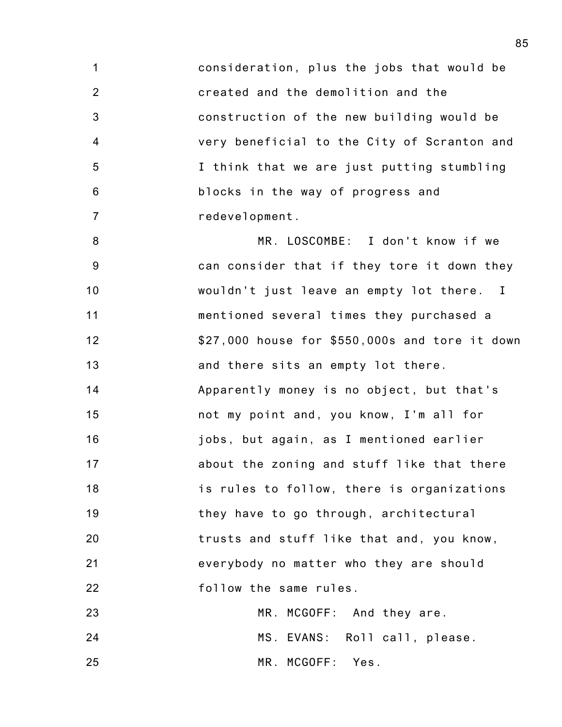1 2 3 4 5 6 7 consideration, plus the jobs that would be created and the demolition and the construction of the new building would be very beneficial to the City of Scranton and I think that we are just putting stumbling blocks in the way of progress and redevelopment.

8 9 10 11 12 13 14 15 16 17 18 19 20 21 22 MR. LOSCOMBE: I don't know if we can consider that if they tore it down they wouldn't just leave an empty lot there. I mentioned several times they purchased a \$27,000 house for \$550,000s and tore it down and there sits an empty lot there. Apparently money is no object, but that's not my point and, you know, I'm all for jobs, but again, as I mentioned earlier about the zoning and stuff like that there is rules to follow, there is organizations they have to go through, architectural trusts and stuff like that and, you know, everybody no matter who they are should follow the same rules.

23 24 25 MR. MCGOFF: And they are. MS. EVANS: Roll call, please. MR. MCGOFF: Yes.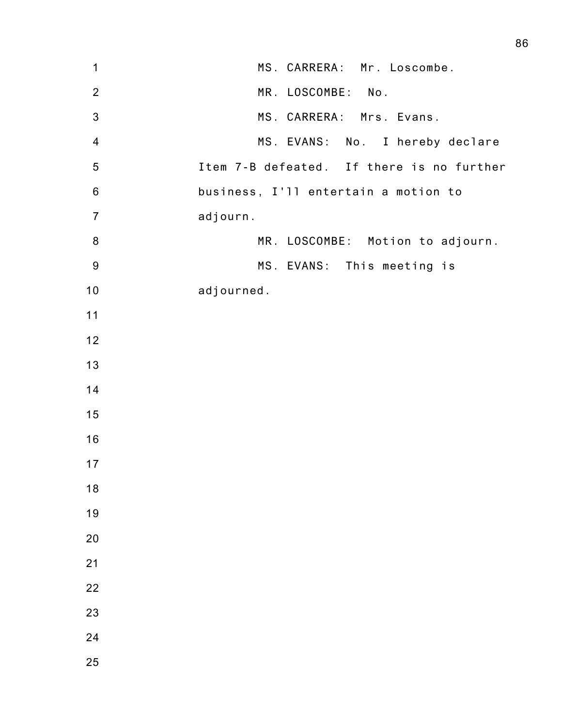| 1                | MS. CARRERA: Mr. Loscombe.                |
|------------------|-------------------------------------------|
| $\overline{2}$   | MR. LOSCOMBE: No.                         |
| $\sqrt{3}$       | MS. CARRERA: Mrs. Evans.                  |
| $\overline{4}$   | MS. EVANS: No. I hereby declare           |
| $\sqrt{5}$       | Item 7-B defeated. If there is no further |
| $\,6$            | business, I'll entertain a motion to      |
| $\overline{7}$   | adjourn.                                  |
| $\,8\,$          | MR. LOSCOMBE: Motion to adjourn.          |
| $\boldsymbol{9}$ | MS. EVANS: This meeting is                |
| 10               | adjourned.                                |
| 11               |                                           |
| 12               |                                           |
| 13               |                                           |
| 14               |                                           |
| 15               |                                           |
| 16               |                                           |
| 17               |                                           |
| 18               |                                           |
| 19               |                                           |
| 20               |                                           |
| 21               |                                           |
| 22               |                                           |
| 23               |                                           |
| 24               |                                           |
| 25               |                                           |